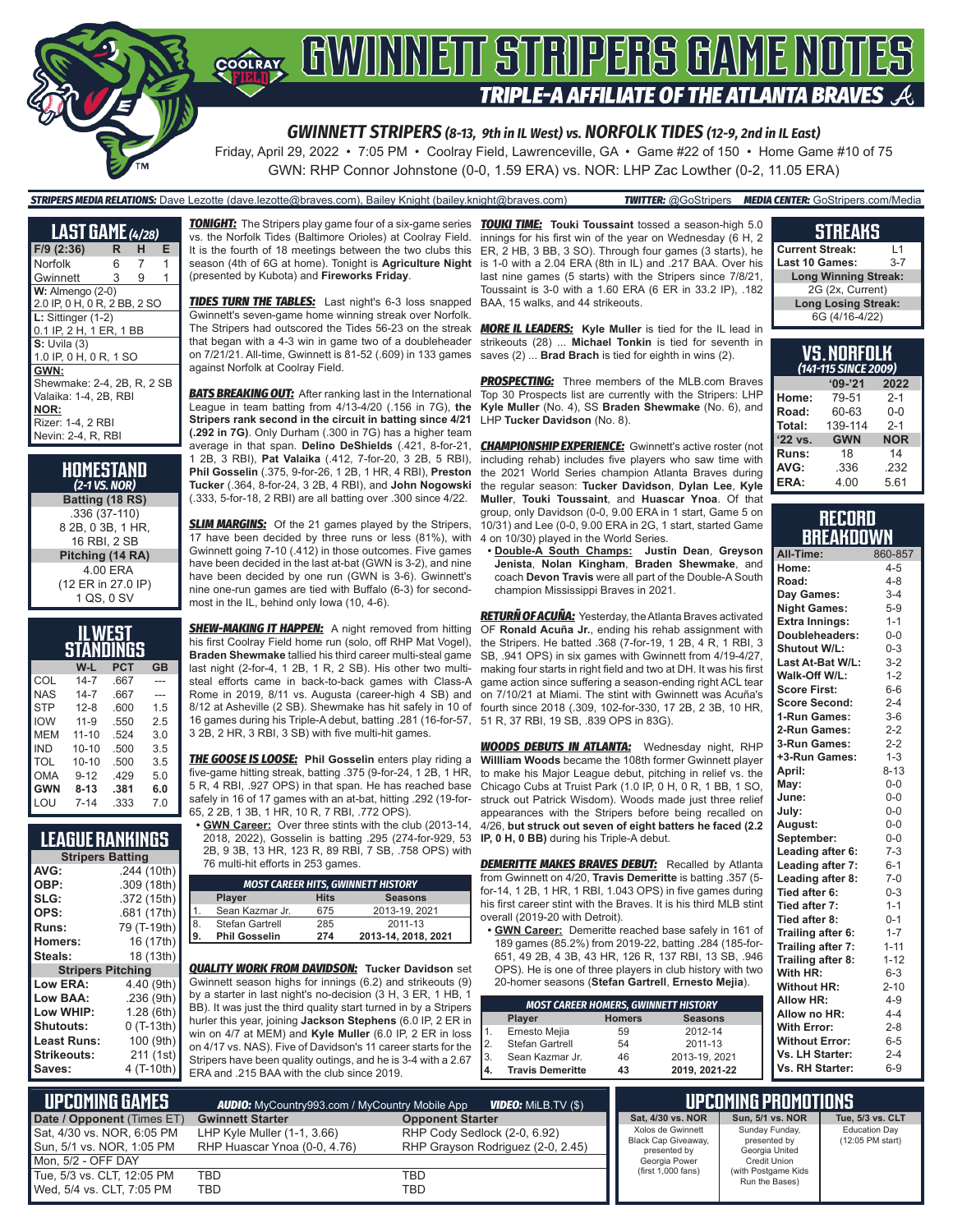

Friday, April 29, 2022 • 7:05 PM • Coolray Field, Lawrenceville, GA • Game #22 of 150 • Home Game #10 of 75 GWN: RHP Connor Johnstone (0-0, 1.59 ERA) vs. NOR: LHP Zac Lowther (0-2, 11.05 ERA)

### *STRIPERS MEDIA RELATIONS:* Dave Lezotte (dave.lezotte@braves.com), Bailey Knight (bailey.knight@braves.com) *TWITTER:* @GoStripers *MEDIA CENTER:* GoStripers.com/Media

| <b>LAST GAME</b> (4/28)                                             |    |   |   |
|---------------------------------------------------------------------|----|---|---|
| $F/9$ (2:36)                                                        | R  | н | Е |
| Norfolk                                                             | 6. | 7 | 1 |
| Gwinnett                                                            | 3  | 9 | 1 |
| $W:$ Almengo $(2-0)$<br>2.0 IP, 0 H, 0 R, 2 BB, 2 SO                |    |   |   |
| $L:$ Sittinger $(1-2)$<br>0.1 IP, 2 H, 1 ER, 1 BB                   |    |   |   |
| $S:$ Uvila $(3)$<br>1.0 IP, 0 H, 0 R, 1 SO                          |    |   |   |
| GWN:<br>Shewmake: 2-4, 2B, R, 2 SB<br>Valaika: 1-4, 2B, RBI<br>NOR: |    |   |   |
| Rizer: 1-4, 2 RBI<br>Nevin: 2-4, R. RBI                             |    |   |   |

| HOMESTAND<br>$(2-1$ VS. NOR) |
|------------------------------|
| Batting (18 RS)              |
| .336 (37-110)                |
| 8 2B, 0 3B, 1 HR,            |
| 16 RBI. 2 SB                 |
| Pitching (14 RA)             |
| 4.00 ERA                     |
| (12 ER in 27.0 IP)           |
| 1 QS, 0 SV                   |

|            | IL WEST   |      |           |
|------------|-----------|------|-----------|
|            | STANDINGS |      |           |
|            | W-L       | PCT  | <b>GB</b> |
| COL        | $14 - 7$  | .667 |           |
| NAS        | $14 - 7$  | .667 |           |
| <b>STP</b> | $12 - 8$  | .600 | 1.5       |
| <b>IOW</b> | $11 - 9$  | .550 | 2.5       |
| MEM        | $11 - 10$ | .524 | 3.0       |
| IND        | $10 - 10$ | .500 | 3.5       |
| <b>TOL</b> | $10 - 10$ | .500 | 3.5       |
| OMA        | $9 - 12$  | .429 | 5.0       |
| <b>GWN</b> | $8 - 13$  | .381 | 6.0       |
| LOU        | $7 - 14$  | .333 | 7.0       |

### **LEAGUE RANKINGS**

| <b>Stripers Batting</b>  |             |  |
|--------------------------|-------------|--|
| AVG:                     | .244 (10th) |  |
| OBP:                     | .309 (18th) |  |
| SLG:                     | .372 (15th) |  |
| OPS:                     | .681 (17th) |  |
| Runs:                    | 79 (T-19th) |  |
| <b>Homers:</b>           | 16 (17th)   |  |
| Steals:                  | 18 (13th)   |  |
| <b>Stripers Pitching</b> |             |  |
| <b>Low ERA:</b>          | 4.40 (9th)  |  |
| Low BAA:                 | .236(9th)   |  |
| Low WHIP:                | 1.28(6th)   |  |
| <b>Shutouts:</b>         | $0(T-13th)$ |  |
| <b>Least Runs:</b>       | 100 (9th)   |  |
| Strikeouts:              | 211 (1st)   |  |
| Saves:                   | 4 (T-10th)  |  |
|                          |             |  |

*TONIGHT:* The Stripers play game four of a six-game series *TOUKI TIME:* **Touki Toussaint** tossed a season-high 5.0 vs. the Norfolk Tides (Baltimore Orioles) at Coolray Field. It is the fourth of 18 meetings between the two clubs this season (4th of 6G at home). Tonight is **Agriculture Night** (presented by Kubota) and **Fireworks Friday**.

**TIDES TURN THE TABLES:** Last night's 6-3 loss snapped Gwinnett's seven-game home winning streak over Norfolk. The Stripers had outscored the Tides 56-23 on the streak that began with a 4-3 win in game two of a doubleheader on 7/21/21. All-time, Gwinnett is 81-52 (.609) in 133 games against Norfolk at Coolray Field.

**BATS BREAKING OUT:** After ranking last in the International League in team batting from 4/13-4/20 (.156 in 7G), **the Stripers rank second in the circuit in batting since 4/21 (.292 in 7G)**. Only Durham (.300 in 7G) has a higher team average in that span. **Delino DeShields** (.421, 8-for-21, 1 2B, 3 RBI), **Pat Valaika** (.412, 7-for-20, 3 2B, 5 RBI), **Phil Gosselin** (.375, 9-for-26, 1 2B, 1 HR, 4 RBI), **Preston Tucker** (.364, 8-for-24, 3 2B, 4 RBI), and **John Nogowski** (.333, 5-for-18, 2 RBI) are all batting over .300 since 4/22.

**SLIM MARGINS:** Of the 21 games played by the Stripers, 17 have been decided by three runs or less (81%), with Gwinnett going 7-10 (.412) in those outcomes. Five games have been decided in the last at-bat (GWN is 3-2), and nine have been decided by one run (GWN is 3-6). Gwinnett's nine one-run games are tied with Buffalo (6-3) for secondmost in the IL, behind only Iowa (10, 4-6).

**SHEW-MAKING IT HAPPEN:** A night removed from hitting his first Coolray Field home run (solo, off RHP Mat Vogel), **Braden Shewmake** tallied his third career multi-steal game last night (2-for-4, 1 2B, 1 R, 2 SB). His other two multisteal efforts came in back-to-back games with Class-A Rome in 2019, 8/11 vs. Augusta (career-high 4 SB) and 8/12 at Asheville (2 SB). Shewmake has hit safely in 10 of 16 games during his Triple-A debut, batting .281 (16-for-57, 3 2B, 2 HR, 3 RBI, 3 SB) with five multi-hit games.

*THE GOOSE IS LOOSE:* **Phil Gosselin** enters play riding a five-game hitting streak, batting .375 (9-for-24, 1 2B, 1 HR, 5 R, 4 RBI, .927 OPS) in that span. He has reached base safely in 16 of 17 games with an at-bat, hitting .292 (19-for-65, 2 2B, 1 3B, 1 HR, 10 R, 7 RBI, .772 OPS).

**• GWN Career:** Over three stints with the club (2013-14, 2018, 2022), Gosselin is batting .295 (274-for-929, 53 2B, 9 3B, 13 HR, 123 R, 89 RBI, 7 SB, .758 OPS) with 76 multi-hit efforts in 253 games.

|     |                      |             | <b>MOST CAREER HITS, GWINNETT HISTORY</b> |
|-----|----------------------|-------------|-------------------------------------------|
|     | Player               | <b>Hits</b> | <b>Seasons</b>                            |
|     | Sean Kazmar Jr.      | 675         | 2013-19, 2021                             |
| 8   | Stefan Gartrell      | 285         | 2011-13                                   |
| Ι9. | <b>Phil Gosselin</b> | 274         | 2013-14, 2018, 2021                       |
|     |                      |             |                                           |

*QUALITY WORK FROM DAVIDSON:* **Tucker Davidson** set Gwinnett season highs for innings (6.2) and strikeouts (9) by a starter in last night's no-decision (3 H, 3 ER, 1 HB, 1 BB). It was just the third quality start turned in by a Stripers hurler this year, joining **Jackson Stephens** (6.0 IP, 2 ER in win on 4/7 at MEM) and **Kyle Muller** (6.0 IP, 2 ER in loss on 4/17 vs. NAS). Five of Davidson's 11 career starts for the Stripers have been quality outings, and he is 3-4 with a 2.67 ERA and .215 BAA with the club since 2019.

innings for his first win of the year on Wednesday (6 H, 2 ER, 2 HB, 3 BB, 3 SO). Through four games (3 starts), he is 1-0 with a 2.04 ERA (8th in IL) and .217 BAA. Over his last nine games (5 starts) with the Stripers since 7/8/21, Toussaint is 3-0 with a 1.60 ERA (6 ER in 33.2 IP), .182 BAA, 15 walks, and 44 strikeouts.

*MORE IL LEADERS:* **Kyle Muller** is tied for the IL lead in strikeouts (28) ... **Michael Tonkin** is tied for seventh in saves (2) ... **Brad Brach** is tied for eighth in wins (2).

**PROSPECTING:** Three members of the MLB.com Braves Top 30 Prospects list are currently with the Stripers: LHP **Kyle Muller** (No. 4), SS **Braden Shewmake** (No. 6), and LHP **Tucker Davidson** (No. 8).

**CHAMPIONSHIP EXPERIENCE:** Gwinnett's active roster (not including rehab) includes five players who saw time with the 2021 World Series champion Atlanta Braves during the regular season: **Tucker Davidson**, **Dylan Lee**, **Kyle Muller**, **Touki Toussaint**, and **Huascar Ynoa**. Of that group, only Davidson (0-0, 9.00 ERA in 1 start, Game 5 on 10/31) and Lee (0-0, 9.00 ERA in 2G, 1 start, started Game 4 on 10/30) played in the World Series.

**• Double-A South Champs: Justin Dean**, **Greyson Jenista**, **Nolan Kingham**, **Braden Shewmake**, and coach **Devon Travis** were all part of the Double-A South champion Mississippi Braves in 2021.

*RETURÑ OF ACUÑA:* Yesterday, the Atlanta Braves activated OF **Ronald Acuña Jr.**, ending his rehab assignment with the Stripers. He batted .368 (7-for-19, 1 2B, 4 R, 1 RBI, 3 SB, .941 OPS) in six games with Gwinnett from 4/19-4/27, making four starts in right field and two at DH. It was his first game action since suffering a season-ending right ACL tear on 7/10/21 at Miami. The stint with Gwinnett was Acuña's fourth since 2018 (.309, 102-for-330, 17 2B, 2 3B, 10 HR, 51 R, 37 RBI, 19 SB, .839 OPS in 83G).

*WOODS DEBUTS IN ATLANTA:* Wednesday night, RHP **Willliam Woods** became the 108th former Gwinnett player to make his Major League debut, pitching in relief vs. the Chicago Cubs at Truist Park (1.0 IP, 0 H, 0 R, 1 BB, 1 SO, struck out Patrick Wisdom). Woods made just three relief appearances with the Stripers before being recalled on 4/26, **but struck out seven of eight batters he faced (2.2 IP, 0 H, 0 BB)** during his Triple-A debut.

**DEMERITTE MAKES BRAVES DEBUT:** Recalled by Atlanta from Gwinnett on 4/20, **Travis Demeritte** is batting .357 (5 for-14, 1 2B, 1 HR, 1 RBI, 1.043 OPS) in five games during his first career stint with the Braves. It is his third MLB stint overall (2019-20 with Detroit).

**• GWN Career:** Demeritte reached base safely in 161 of 189 games (85.2%) from 2019-22, batting .284 (185-for-651, 49 2B, 4 3B, 43 HR, 126 R, 137 RBI, 13 SB, .946 OPS). He is one of three players in club history with two 20-homer seasons (**Stefan Gartrell**, **Ernesto Mejia**).

| <b>MOST CAREER HOMERS, GWINNETT HISTORY</b> |                         |               |                |
|---------------------------------------------|-------------------------|---------------|----------------|
|                                             | Player                  | <b>Homers</b> | <b>Seasons</b> |
| 1.                                          | Ernesto Mejia           | 59            | 2012-14        |
| 2.                                          | Stefan Gartrell         | 54            | 2011-13        |
| 3.                                          | Sean Kazmar Jr.         | 46            | 2013-19, 2021  |
| 4.                                          | <b>Travis Demeritte</b> | 43            | 2019, 2021-22  |

### **STREAKS**

| <b>Current Streak:</b>      | l 1     |
|-----------------------------|---------|
| <b>Last 10 Games:</b>       | $3 - 7$ |
| <b>Long Winning Streak:</b> |         |
| 2G (2x, Current)            |         |
| <b>Long Losing Streak:</b>  |         |
| 6G (4/16-4/22)              |         |

| VS.NORFOLK<br>(141-115 SINCE 2009) |            |            |
|------------------------------------|------------|------------|
|                                    | $'09-'21$  | 2022       |
| Home:                              | 79-51      | $2 - 1$    |
| Road:                              | 60-63      | $0 - 0$    |
| Total:                             | 139-114    | $2 - 1$    |
| '22 vs.                            | <b>GWN</b> | <b>NOR</b> |
| Runs:                              | 18         | 14         |
| AVG:                               | .336       | .232       |
| ERA:                               | 4.00       | 5.61       |

### **RECORD BREAKDOWN**

| All-Time:             | 860-857  |
|-----------------------|----------|
| Home:                 | $4 - 5$  |
| Road:                 | $4 - 8$  |
| Day Games:            | $3-4$    |
| <b>Night Games:</b>   | $5-9$    |
| <b>Extra Innings:</b> | $1 - 1$  |
| Doubleheaders:        | $0 - 0$  |
| Shutout W/L:          | $0 - 3$  |
| Last At-Bat W/L:      | $3-2$    |
| Walk-Off W/L:         | $1 - 2$  |
| <b>Score First:</b>   | $6-6$    |
| <b>Score Second:</b>  | $2 - 4$  |
| 1-Run Games:          | $3-6$    |
| 2-Run Games:          | $2 - 2$  |
| 3-Run Games:          | $2 - 2$  |
| +3-Run Games:         | $1 - 3$  |
| April:                | $8 - 13$ |
| May:                  | $0-0$    |
| June:                 | $0-0$    |
| July:                 | $0-0$    |
| August:               | $0 - 0$  |
| September:            | $0 - 0$  |
| Leading after 6:      | $7-3$    |
| Leading after 7:      | $6 - 1$  |
| Leading after 8:      | $7-0$    |
| Tied after 6:         | $0 - 3$  |
| Tied after 7:         | $1 - 1$  |
| Tied after 8:         | $0 - 1$  |
| Trailing after 6:     | $1 - 7$  |
| Trailing after 7:     | $1 - 11$ |
| Trailing after 8:     | $1 - 12$ |
| With HR:              | $6 - 3$  |
| <b>Without HR:</b>    | $2 - 10$ |
| <b>Allow HR:</b>      | $4 - 9$  |
| Allow no HR:          | $4 - 4$  |
| <b>With Error:</b>    | $2 - 8$  |
| <b>Without Error:</b> | $6 - 5$  |
| Vs. LH Starter:       | $2 - 4$  |
| Vs. RH Starter:       | $6-9$    |

| <b>Lupcoming Games !</b>   | <b>AUDIO:</b> MyCountry993.com / MyCountry Mobile App | <b>VIDEO:</b> MILB.TV (\$)        |                                          | I UPCOMING PROMOTIONS <b>"</b>        |                                          |
|----------------------------|-------------------------------------------------------|-----------------------------------|------------------------------------------|---------------------------------------|------------------------------------------|
| Date / Opponent (Times ET) | <b>Gwinnett Starter</b>                               | <b>Opponent Starter</b>           | Sat. 4/30 vs. NOR                        | Sun. 5/1 vs. NOR                      | Tue, 5/3 vs. CLT                         |
| Sat, 4/30 vs. NOR, 6:05 PM | LHP Kyle Muller $(1-1, 3.66)$                         | RHP Cody Sedlock (2-0, 6.92)      | Xolos de Gwinnett<br>Black Cap Giveaway, | Sunday Funday,<br>presented by        | <b>Education Day</b><br>(12:05 PM start) |
| Sun, 5/1 vs. NOR, 1:05 PM  | RHP Huascar Ynoa (0-0, 4.76)                          | RHP Grayson Rodriguez (2-0, 2.45) | presented by                             | Georgia United                        |                                          |
| Mon. 5/2 - OFF DAY         |                                                       |                                   | Georgia Power                            | Credit Union                          |                                          |
| Tue, 5/3 vs. CLT, 12:05 PM | <b>TBD</b>                                            | TBD                               | (first 1,000 fans)                       | (with Postgame Kids<br>Run the Bases) |                                          |
| Wed. 5/4 vs. CLT. 7:05 PM  | TBD                                                   | TBD                               |                                          |                                       |                                          |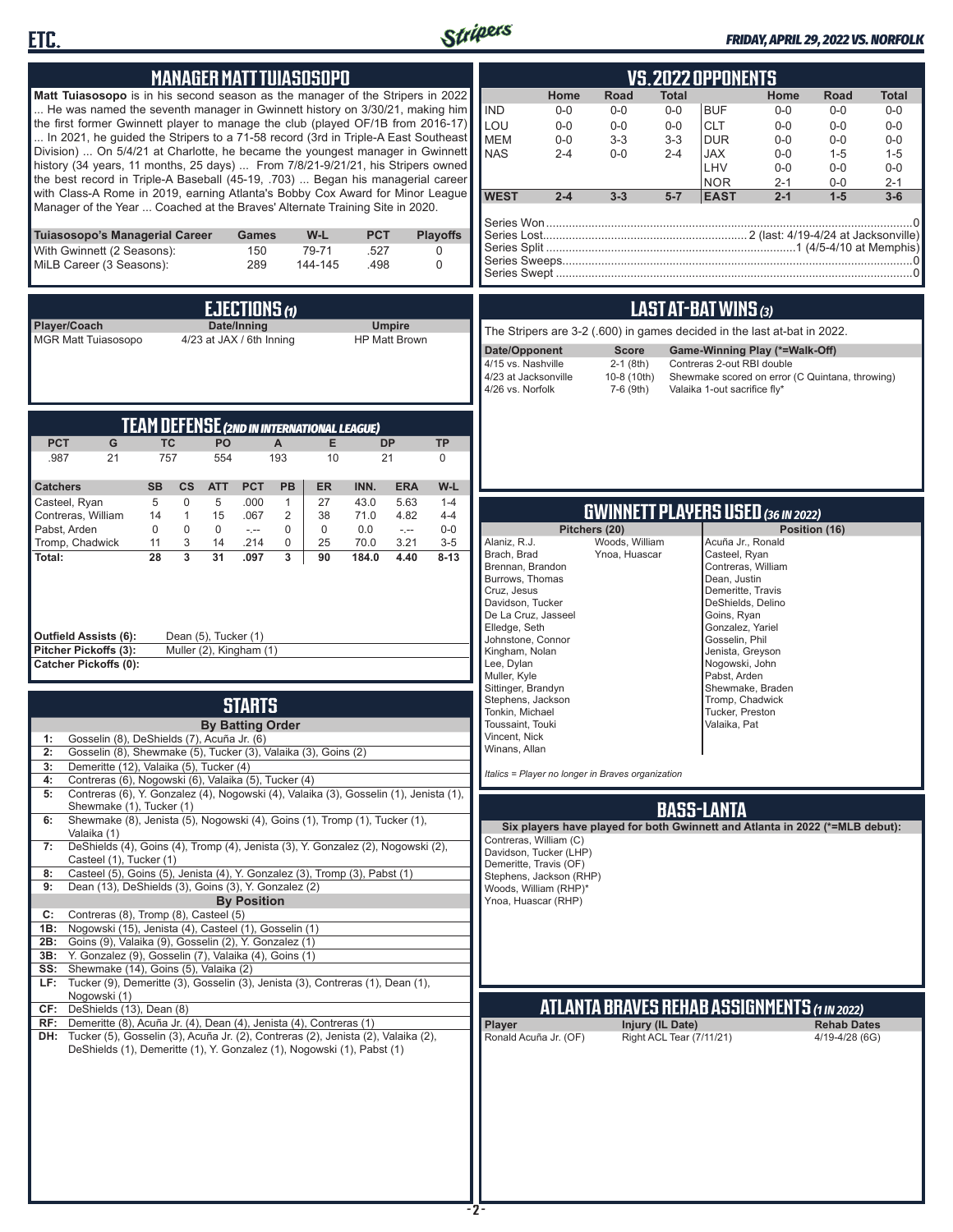



### *FRIDAY, APRIL 29, 2022 VS. NORFOLK*

| <b>MANAGER MATT TUIASOSOPO</b>                                                                                                                                                                                                                                                                                                                                                                                                                                                                                                                                                                                                                                                                                                                                       | <b>VS.2022 OPPONENTS</b>                                                                                                                                                                                                                                                                                                                                                                                                                                                                                                                                                                                      |
|----------------------------------------------------------------------------------------------------------------------------------------------------------------------------------------------------------------------------------------------------------------------------------------------------------------------------------------------------------------------------------------------------------------------------------------------------------------------------------------------------------------------------------------------------------------------------------------------------------------------------------------------------------------------------------------------------------------------------------------------------------------------|---------------------------------------------------------------------------------------------------------------------------------------------------------------------------------------------------------------------------------------------------------------------------------------------------------------------------------------------------------------------------------------------------------------------------------------------------------------------------------------------------------------------------------------------------------------------------------------------------------------|
| <b>Matt Tuiasosopo</b> is in his second season as the manager of the Stripers in 2022<br>He was named the seventh manager in Gwinnett history on 3/30/21, making him<br>the first former Gwinnett player to manage the club (played OF/1B from 2016-17)<br>In 2021, he quided the Stripers to a 71-58 record (3rd in Triple-A East Southeast<br>Division)  On 5/4/21 at Charlotte, he became the youngest manager in Gwinnett<br>history (34 years, 11 months, 25 days)  From 7/8/21-9/21/21, his Stripers owned<br>the best record in Triple-A Baseball (45-19, .703)  Began his managerial career<br>with Class-A Rome in 2019, earning Atlanta's Bobby Cox Award for Minor League<br>Manager of the Year  Coached at the Braves' Alternate Training Site in 2020. | Home<br><b>Road</b><br><b>Total</b><br>Home<br><b>Total</b><br>Road<br><b>IND</b><br><b>BUF</b><br>$0-0$<br>$0-0$<br>$0 - 0$<br>$0 - 0$<br>$0-0$<br>$0-0$<br>LOU<br><b>CLT</b><br>$0 - 0$<br>$0-0$<br>$0-0$<br>$0 - 0$<br>$0 - 0$<br>$0-0$<br><b>MEM</b><br>$3 - 3$<br>$3-3$<br><b>DUR</b><br>$0 - 0$<br>$0 - 0$<br>$0-0$<br>$0-0$<br><b>NAS</b><br>$0-0$<br>$2 - 4$<br><b>JAX</b><br>$2 - 4$<br>$0 - 0$<br>$1 - 5$<br>$1 - 5$<br>LHV<br>$0 - 0$<br>$0 - 0$<br>$0-0$<br><b>NOR</b><br>$2 - 1$<br>$0-0$<br>$2 - 1$<br><b>WEST</b><br>$2 - 4$<br>$1 - 5$<br>$3 - 3$<br>$5-7$<br><b>EAST</b><br>$2 - 1$<br>$3-6$ |
| Tuiasosopo's Managerial Career<br><b>PCT</b><br><b>Playoffs</b><br><b>Games</b><br>W-L<br>With Gwinnett (2 Seasons):<br>150<br>79-71<br>.527<br>0<br>MiLB Career (3 Seasons):<br>289<br>144-145<br>.498<br>0                                                                                                                                                                                                                                                                                                                                                                                                                                                                                                                                                         |                                                                                                                                                                                                                                                                                                                                                                                                                                                                                                                                                                                                               |
| EJECTIONS $\omega$<br>Player/Coach<br>Date/Inning<br><b>Umpire</b><br><b>MGR Matt Tuiasosopo</b><br>4/23 at JAX / 6th Inning<br><b>HP Matt Brown</b>                                                                                                                                                                                                                                                                                                                                                                                                                                                                                                                                                                                                                 | LAST AT-BAT WINS (3)<br>The Stripers are 3-2 (.600) in games decided in the last at-bat in 2022.<br>Date/Opponent<br><b>Score</b><br>Game-Winning Play (*=Walk-Off)<br>4/15 vs. Nashville<br>$2-1$ (8th)<br>Contreras 2-out RBI double<br>4/23 at Jacksonville<br>10-8 (10th)<br>Shewmake scored on error (C Quintana, throwing)<br>4/26 vs. Norfolk<br>7-6 (9th)<br>Valaika 1-out sacrifice fly*                                                                                                                                                                                                             |
| <b>TEAM DEFENSE (2ND IN INTERNATIONAL LEAGUE)</b><br><b>PCT</b><br>G<br><b>TC</b><br>PO<br>E<br><b>DP</b><br><b>TP</b><br>$\mathsf{A}$<br>757<br>193<br>.987<br>21<br>554<br>10<br>21<br>0<br><b>PCT</b><br>PB<br><b>ER</b><br><b>ERA</b><br>$W-L$<br><b>Catchers</b><br><b>SB</b><br><b>CS</b><br><b>ATT</b><br>INN.                                                                                                                                                                                                                                                                                                                                                                                                                                                |                                                                                                                                                                                                                                                                                                                                                                                                                                                                                                                                                                                                               |
| 5<br>0<br>5<br>.000<br>27<br>43.0<br>5.63<br>Casteel, Ryan<br>$\mathbf{1}$<br>$1 - 4$<br>$\mathbf{1}$<br>Contreras, William<br>15<br>$\overline{2}$<br>38<br>4.82<br>.067<br>71.0<br>$4 - 4$<br>14                                                                                                                                                                                                                                                                                                                                                                                                                                                                                                                                                                   | <b>GWINNETT PLAYERS USED (36 IN 2022)</b>                                                                                                                                                                                                                                                                                                                                                                                                                                                                                                                                                                     |
| Pabst, Arden<br>$\mathbf 0$<br>$\mathbf 0$<br>$\mathbf 0$<br>$\mathbf 0$<br>$0-0$<br>0<br>0.0<br>$\sim$ , $\sim$<br>$-1$<br>Tromp, Chadwick<br>3<br>0<br>25<br>70.0<br>3.21<br>$3-5$<br>11<br>14<br>.214<br>$\overline{3}$<br>31<br>3<br>$8 - 13$<br>Total:<br>28<br>.097<br>90<br>184.0<br>4.40<br>Outfield Assists (6):<br>Dean (5), Tucker (1)<br>Pitcher Pickoffs (3):<br>Muller (2), Kingham (1)<br><b>Catcher Pickoffs (0):</b>                                                                                                                                                                                                                                                                                                                                | Pitchers (20)<br>Position (16)<br>Woods, William<br>Alaniz, R.J.<br>Acuña Jr., Ronald<br>Brach, Brad<br>Ynoa, Huascar<br>Casteel, Ryan<br>Contreras, William<br>Brennan, Brandon<br>Burrows, Thomas<br>Dean, Justin<br>Demeritte, Travis<br>Cruz, Jesus<br>Davidson, Tucker<br>DeShields, Delino<br>De La Cruz, Jasseel<br>Goins, Ryan<br>Elledge, Seth<br>Gonzalez, Yariel<br>Johnstone, Connor<br>Gosselin, Phil<br>Kingham, Nolan<br>Jenista, Greyson<br>Lee, Dylan<br>Nogowski, John<br>Muller, Kyle<br>Pabst, Arden                                                                                      |
| <b>STARTS</b>                                                                                                                                                                                                                                                                                                                                                                                                                                                                                                                                                                                                                                                                                                                                                        | Sittinger, Brandyn<br>Shewmake, Braden<br>Stephens, Jackson<br>Tromp, Chadwick                                                                                                                                                                                                                                                                                                                                                                                                                                                                                                                                |
| <b>By Batting Order</b><br>Gosselin (8), DeShields (7), Acuña Jr. (6)<br>1:<br>2:<br>Gosselin (8), Shewmake (5), Tucker (3), Valaika (3), Goins (2)<br>Demeritte (12), Valaika (5), Tucker (4)<br>3:<br>Contreras (6), Nogowski (6), Valaika (5), Tucker (4)<br>4:<br>Contreras (6), Y. Gonzalez (4), Nogowski (4), Valaika (3), Gosselin (1), Jenista (1),<br>5:                                                                                                                                                                                                                                                                                                                                                                                                    | Tonkin, Michael<br>Tucker, Preston<br>Toussaint, Touki<br>Valaika, Pat<br>Vincent, Nick<br>Winans, Allan<br>Italics = Player no longer in Braves organization                                                                                                                                                                                                                                                                                                                                                                                                                                                 |
| Shewmake (1), Tucker (1)<br>Shewmake (8), Jenista (5), Nogowski (4), Goins (1), Tromp (1), Tucker (1),<br>6:                                                                                                                                                                                                                                                                                                                                                                                                                                                                                                                                                                                                                                                         | <b>BASS-LANTA</b>                                                                                                                                                                                                                                                                                                                                                                                                                                                                                                                                                                                             |
| Valaika (1)<br>DeShields (4), Goins (4), Tromp (4), Jenista (3), Y. Gonzalez (2), Nogowski (2),<br>7:<br>Casteel (1), Tucker (1)<br>Casteel (5), Goins (5), Jenista (4), Y. Gonzalez (3), Tromp (3), Pabst (1)<br>8:<br>Dean (13), DeShields (3), Goins (3), Y. Gonzalez (2)<br>9:<br><b>By Position</b><br>Contreras (8), Tromp (8), Casteel (5)<br>C:<br>Nogowski (15), Jenista (4), Casteel (1), Gosselin (1)<br>1B:<br>2B: Goins (9), Valaika (9), Gosselin (2), Y. Gonzalez (1)<br>3B: Y. Gonzalez (9), Gosselin (7), Valaika (4), Goins (1)<br>SS: Shewmake (14), Goins (5), Valaika (2)<br>LF: Tucker (9), Demeritte (3), Gosselin (3), Jenista (3), Contreras (1), Dean (1),                                                                                 | Six players have played for both Gwinnett and Atlanta in 2022 (*=MLB debut):<br>Contreras, William (C)<br>Davidson, Tucker (LHP)<br>Demeritte, Travis (OF)<br>Stephens, Jackson (RHP)<br>Woods, William (RHP)*<br>Ynoa, Huascar (RHP)                                                                                                                                                                                                                                                                                                                                                                         |
| Nogowski (1)<br>CF: DeShields (13), Dean (8)                                                                                                                                                                                                                                                                                                                                                                                                                                                                                                                                                                                                                                                                                                                         | <b>ATLANTA BRAVES REHAB ASSIGNMENTS (1 IN 2022)</b>                                                                                                                                                                                                                                                                                                                                                                                                                                                                                                                                                           |
| RF: Demeritte (8), Acuña Jr. (4), Dean (4), Jenista (4), Contreras (1)<br>DH: Tucker (5), Gosselin (3), Acuña Jr. (2), Contreras (2), Jenista (2), Valaika (2),<br>DeShields (1), Demeritte (1), Y. Gonzalez (1), Nogowski (1), Pabst (1)                                                                                                                                                                                                                                                                                                                                                                                                                                                                                                                            | Player<br>Injury (IL Date)<br><b>Rehab Dates</b><br>Right ACL Tear (7/11/21)<br>Ronald Acuña Jr. (OF)<br>4/19-4/28 (6G)                                                                                                                                                                                                                                                                                                                                                                                                                                                                                       |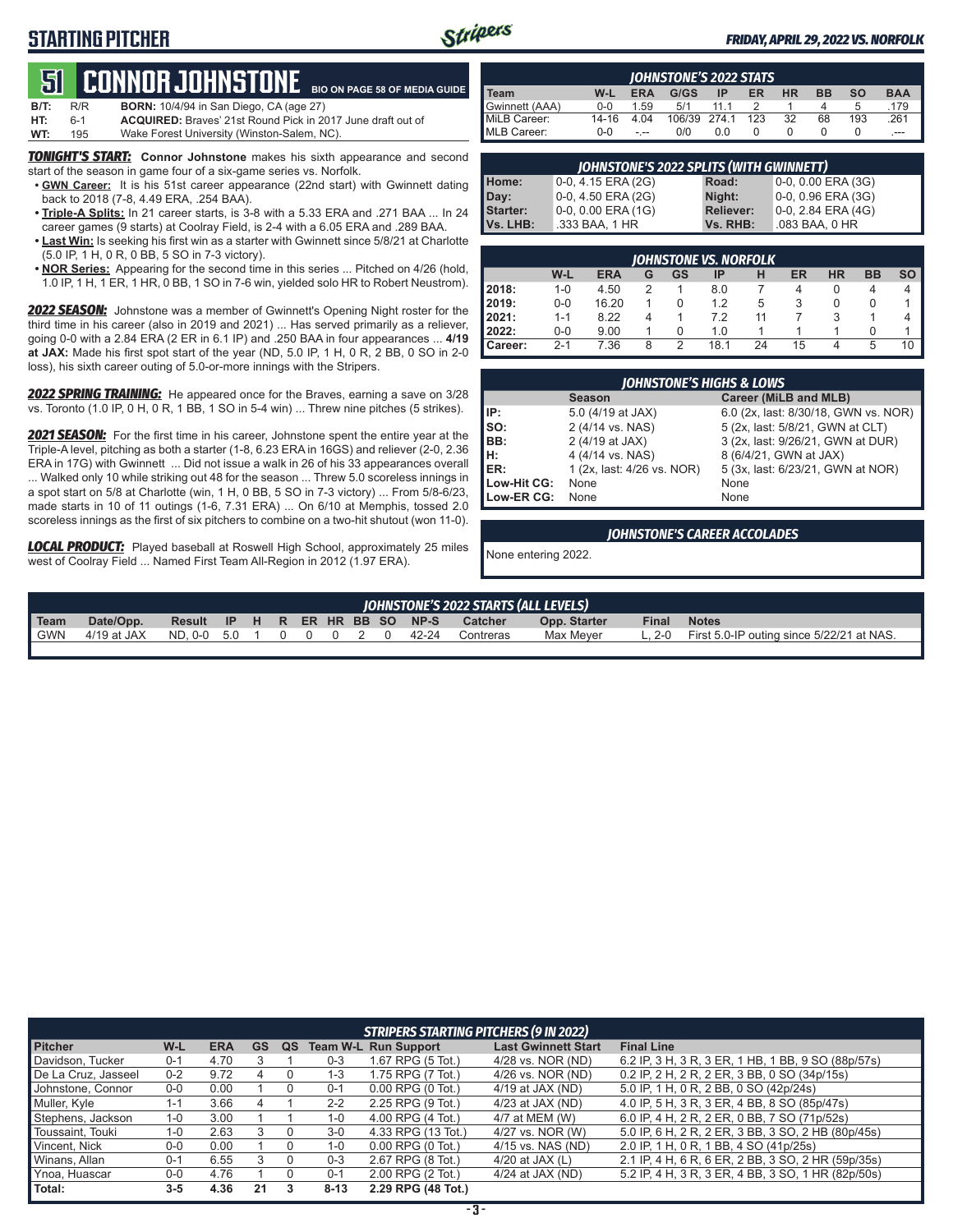# **STARTING PITCHER**



### *FRIDAY, APRIL 29, 2022 VS. NORFOLK*

# **51****CONNOR Johnstone BIO ON PAGE 58 OF MEDIA GUIDE**

| B/T: | R/R   | <b>BORN:</b> 10/4/94 in San Diego, CA (age 27)                     |
|------|-------|--------------------------------------------------------------------|
| HT:  | $6-1$ | <b>ACQUIRED:</b> Braves' 21st Round Pick in 2017 June draft out of |
| WT:  | 195   | Wake Forest University (Winston-Salem, NC).                        |

**TONIGHT'S START:** Connor Johnstone makes his sixth appearance and second start of the season in game four of a six-game series vs. Norfolk.

- **• GWN Career:** It is his 51st career appearance (22nd start) with Gwinnett dating back to 2018 (7-8, 4.49 ERA, .254 BAA).
- **• Triple-A Splits:** In 21 career starts, is 3-8 with a 5.33 ERA and .271 BAA ... In 24 career games (9 starts) at Coolray Field, is 2-4 with a 6.05 ERA and .289 BAA.
- **• Last Win:** Is seeking his first win as a starter with Gwinnett since 5/8/21 at Charlotte (5.0 IP, 1 H, 0 R, 0 BB, 5 SO in 7-3 victory).
- **• NOR Series:** Appearing for the second time in this series ... Pitched on 4/26 (hold, 1.0 IP, 1 H, 1 ER, 1 HR, 0 BB, 1 SO in 7-6 win, yielded solo HR to Robert Neustrom).

*2022 SEASON:* Johnstone was a member of Gwinnett's Opening Night roster for the third time in his career (also in 2019 and 2021) ... Has served primarily as a reliever, going 0-0 with a 2.84 ERA (2 ER in 6.1 IP) and .250 BAA in four appearances ... **4/19 at JAX:** Made his first spot start of the year (ND, 5.0 IP, 1 H, 0 R, 2 BB, 0 SO in 2-0 loss), his sixth career outing of 5.0-or-more innings with the Stripers.

*2022 SPRING TRAINING:* He appeared once for the Braves, earning a save on 3/28 vs. Toronto (1.0 IP, 0 H, 0 R, 1 BB, 1 SO in 5-4 win) ... Threw nine pitches (5 strikes).

*2021 SEASON:* For the first time in his career, Johnstone spent the entire year at the Triple-A level, pitching as both a starter (1-8, 6.23 ERA in 16GS) and reliever (2-0, 2.36 ERA in 17G) with Gwinnett ... Did not issue a walk in 26 of his 33 appearances overall ... Walked only 10 while striking out 48 for the season ... Threw 5.0 scoreless innings in a spot start on 5/8 at Charlotte (win, 1 H, 0 BB, 5 SO in 7-3 victory) ... From 5/8-6/23, made starts in 10 of 11 outings (1-6, 7.31 ERA) ... On 6/10 at Memphis, tossed 2.0 scoreless innings as the first of six pitchers to combine on a two-hit shutout (won 11-0).

*LOCAL PRODUCT:* Played baseball at Roswell High School, approximately 25 miles west of Coolray Field ... Named First Team All-Region in 2012 (1.97 ERA).

|                |         |            | <b>IOHNSTONE'S 2022 STATS</b> |     |     |           |    |           |            |
|----------------|---------|------------|-------------------------------|-----|-----|-----------|----|-----------|------------|
| <b>Team</b>    | W-L     | <b>ERA</b> | G/GS                          | ΙP  | ER  | <b>HR</b> | вв | <b>SO</b> | <b>BAA</b> |
| Gwinnett (AAA) | $0 - 0$ | 1.59       | 5/1                           |     |     |           |    | b         | .179       |
| MiLB Career:   | 14-16   | 4.04       | 106/39 274.1                  |     | 123 | 32        | 68 | 193       | .261       |
| MLB Career:    | $0 - 0$ | - --       | 0/0                           | 0.0 |     |           |    |           | $---$      |

| <b>JOHNSTONE'S 2022 SPLITS (WITH GWINNETT)</b> |                    |                  |                           |  |  |  |  |  |  |
|------------------------------------------------|--------------------|------------------|---------------------------|--|--|--|--|--|--|
| Home:                                          | 0-0, 4.15 ERA (2G) | Road:            | $0-0$ , $0.00$ ERA $(3G)$ |  |  |  |  |  |  |
| Day:                                           | 0-0, 4.50 ERA (2G) | Night:           | 0-0, 0.96 ERA (3G)        |  |  |  |  |  |  |
| Starter:                                       | 0-0, 0.00 ERA (1G) | <b>Reliever:</b> | 0-0, 2.84 ERA (4G)        |  |  |  |  |  |  |
| Vs. LHB:                                       | .333 BAA, 1 HR     | Vs. RHB:         | .083 BAA, 0 HR            |  |  |  |  |  |  |
|                                                |                    |                  |                           |  |  |  |  |  |  |

|           | <b>IOHNSTONE VS. NORFOLK</b> |            |   |    |      |    |    |           |           |    |
|-----------|------------------------------|------------|---|----|------|----|----|-----------|-----------|----|
|           | W-L                          | <b>ERA</b> | G | GS | ΙP   | н  | ER | <b>HR</b> | <b>BB</b> | SO |
| 2018:     | $1 - 0$                      | 4.50       | 2 |    | 8.0  |    | 4  | 0         | 4         | 4  |
| 2019:     | 0-0                          | 16.20      |   |    | 1.2  | 5  | 3  | 0         | $\Omega$  |    |
| 2021:     | $1 - 1$                      | 8.22       |   |    | 7.2  | 11 |    |           |           | 4  |
| 2022:     | 0-0                          | 9.00       |   |    | 1.0  |    |    |           |           |    |
| l Career: | $2 - 1$                      | 7.36       | 8 | っ  | 18.1 | 24 | 15 | 4         | 5         | 10 |

|             | <b>IOHNSTONE'S HIGHS &amp; LOWS</b> |                                      |  |  |  |  |  |  |  |
|-------------|-------------------------------------|--------------------------------------|--|--|--|--|--|--|--|
|             | <b>Season</b>                       | Career (MiLB and MLB)                |  |  |  |  |  |  |  |
| IIP:        | 5.0 (4/19 at JAX)                   | 6.0 (2x, last: 8/30/18, GWN vs. NOR) |  |  |  |  |  |  |  |
| so:         | 2 (4/14 vs. NAS)                    | 5 (2x, last: 5/8/21, GWN at CLT)     |  |  |  |  |  |  |  |
| IBB:        | 2 (4/19 at JAX)                     | 3 (2x, last: 9/26/21, GWN at DUR)    |  |  |  |  |  |  |  |
| Iн:         | 4 (4/14 vs. NAS)                    | 8 (6/4/21, GWN at JAX)               |  |  |  |  |  |  |  |
| ER:         | 1 (2x, last: 4/26 vs. NOR)          | 5 (3x, last: 6/23/21, GWN at NOR)    |  |  |  |  |  |  |  |
| Low-Hit CG: | None                                | None                                 |  |  |  |  |  |  |  |
| Low-ER CG:  | None                                | None                                 |  |  |  |  |  |  |  |

#### *JOHNSTONE'S CAREER ACCOLADES*

None entering 2022.

| IOHNSTONE'S 2022 STARTS (ALL LEVELS) |               |               |     |  |          |  |  |  |                 |       |                |              |        |                                           |
|--------------------------------------|---------------|---------------|-----|--|----------|--|--|--|-----------------|-------|----------------|--------------|--------|-------------------------------------------|
| Team                                 | Date/Opp.     | <b>Result</b> | IP. |  |          |  |  |  | H R ER HR BB SO | NP-S  | <b>Catcher</b> | Opp. Starter | Final  | <b>Notes</b>                              |
| <b>GWN</b>                           | $4/19$ at JAX | ND. 0-0       | 50  |  | $\Omega$ |  |  |  |                 | 42-24 | Contreras      | Max Mever    | -. 2-0 | First 5.0-IP outing since 5/22/21 at NAS. |

|                     | <b>STRIPERS STARTING PITCHERS (9 IN 2022)</b> |            |    |    |          |                             |                            |                                                    |  |
|---------------------|-----------------------------------------------|------------|----|----|----------|-----------------------------|----------------------------|----------------------------------------------------|--|
| <b>Pitcher</b>      | $W-L$                                         | <b>ERA</b> | GS | QS |          | <b>Team W-L Run Support</b> | <b>Last Gwinnett Start</b> | <b>Final Line</b>                                  |  |
| Davidson, Tucker    | $0 - 1$                                       | 4.70       |    |    | $0 - 3$  | 1.67 RPG (5 Tot.)           | 4/28 vs. NOR (ND)          | 6.2 IP, 3 H, 3 R, 3 ER, 1 HB, 1 BB, 9 SO (88p/57s) |  |
| De La Cruz, Jasseel | $0 - 2$                                       | 9.72       |    |    | $1 - 3$  | 1.75 RPG (7 Tot.)           | 4/26 vs. NOR (ND)          | 0.2 IP, 2 H, 2 R, 2 ER, 3 BB, 0 SO (34p/15s)       |  |
| Johnstone, Connor   | $0-0$                                         | 0.00       |    |    | $0 - 1$  | $0.00$ RPG $(0$ Tot.)       | 4/19 at JAX (ND)           | 5.0 IP, 1 H, 0 R, 2 BB, 0 SO (42p/24s)             |  |
| Muller, Kyle        | 1-1                                           | 3.66       |    |    | $2 - 2$  | 2.25 RPG (9 Tot.)           | $4/23$ at JAX (ND)         | 4.0 IP, 5 H, 3 R, 3 ER, 4 BB, 8 SO (85p/47s)       |  |
| Stephens, Jackson   | $1 - 0$                                       | 3.00       |    |    | $1 - 0$  | 4.00 RPG (4 Tot.)           | 4/7 at MEM (W)             | 6.0 IP, 4 H, 2 R, 2 ER, 0 BB, 7 SO (71p/52s)       |  |
| Toussaint. Touki    | $1 - 0$                                       | 2.63       |    |    | $3-0$    | 4.33 RPG (13 Tot.)          | 4/27 vs. NOR (W)           | 5.0 IP, 6 H, 2 R, 2 ER, 3 BB, 3 SO, 2 HB (80p/45s) |  |
| Vincent. Nick       | $0 - 0$                                       | 0.00       |    |    | $1 - 0$  | 0.00 RPG (0 Tot.)           | 4/15 vs. NAS (ND)          | 2.0 IP, 1 H, 0 R, 1 BB, 4 SO (41p/25s)             |  |
| Winans, Allan       | $0 - 1$                                       | 6.55       |    |    | $0 - 3$  | 2.67 RPG (8 Tot.)           | 4/20 at JAX $(L)$          | 2.1 IP, 4 H, 6 R, 6 ER, 2 BB, 3 SO, 2 HR (59p/35s) |  |
| Ynoa, Huascar       | $0 - 0$                                       | 4.76       |    |    | $0 - 1$  | 2.00 RPG (2 Tot.)           | 4/24 at JAX (ND)           | 5.2 IP, 4 H, 3 R, 3 ER, 4 BB, 3 SO, 1 HR (82p/50s) |  |
| Total:              | $3 - 5$                                       | 4.36       | 21 |    | $8 - 13$ | 2.29 RPG (48 Tot.)          |                            |                                                    |  |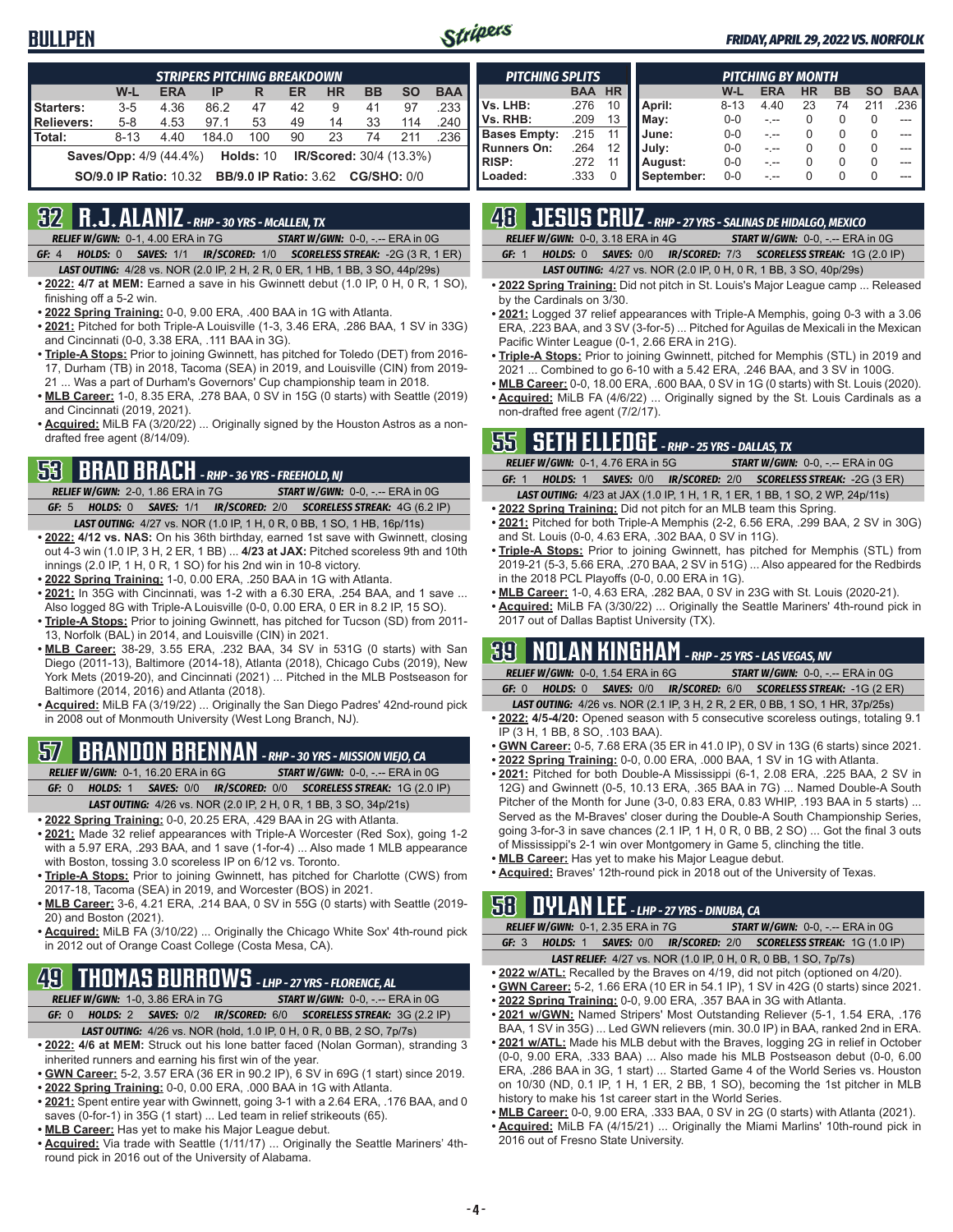# **BULLPEN**



### *FRIDAY, APRIL 29, 2022 VS. NORFOLK*

| <b>STRIPERS PITCHING BREAKDOWN</b> |                               |            |       |                                          |    |                                |           |           |            |
|------------------------------------|-------------------------------|------------|-------|------------------------------------------|----|--------------------------------|-----------|-----------|------------|
|                                    | W-L                           | <b>ERA</b> | IP    | R                                        | ER | <b>HR</b>                      | <b>BB</b> | <b>SO</b> | <b>BAA</b> |
| Starters:                          | $3 - 5$                       | 4.36       | 86.2  | 47                                       | 42 | 9                              | 41        | 97        | .233       |
| <b>Relievers:</b>                  | $5 - 8$                       | 4.53       | 97.1  | 53                                       | 49 | 14                             | 33        | 114       | .240       |
| Total:                             | $8 - 13$                      | 4.40       | 184.0 | 100                                      | 90 | 23                             | 74        | 211       | .236       |
|                                    | <b>Saves/Opp:</b> 4/9 (44.4%) |            |       | <b>Holds: 10</b>                         |    | <b>IR/Scored:</b> 30/4 (13.3%) |           |           |            |
|                                    | <b>SO/9.0 IP Ratio: 10.32</b> |            |       | <b>BB/9.0 IP Ratio: 3.62 CG/SHO: 0/0</b> |    |                                |           |           |            |

# **32 R.J. ALANIZ** *- RHP - 30 YRS - McALLEN, TX*

*RELIEF W/GWN:*0-1, 4.00 ERA in 7G *START W/GWN:*0-0, -.-- ERA in 0G

- *GF:*4 *HOLDS:*0 *SAVES:*1/1 *IR/SCORED:*1/0 *SCORELESS STREAK:*-2G (3 R, 1 ER) *LAST OUTING:*4/28 vs. NOR (2.0 IP, 2 H, 2 R, 0 ER, 1 HB, 1 BB, 3 SO, 44p/29s)
- **• 2022: 4/7 at MEM:** Earned a save in his Gwinnett debut (1.0 IP, 0 H, 0 R, 1 SO), finishing off a 5-2 win.
- **• 2022 Spring Training:** 0-0, 9.00 ERA, .400 BAA in 1G with Atlanta.
- **• 2021:** Pitched for both Triple-A Louisville (1-3, 3.46 ERA, .286 BAA, 1 SV in 33G) and Cincinnati (0-0, 3.38 ERA, .111 BAA in 3G).
- **• Triple-A Stops:** Prior to joining Gwinnett, has pitched for Toledo (DET) from 2016- 17, Durham (TB) in 2018, Tacoma (SEA) in 2019, and Louisville (CIN) from 2019- 21 ... Was a part of Durham's Governors' Cup championship team in 2018.
- **• MLB Career:** 1-0, 8.35 ERA, .278 BAA, 0 SV in 15G (0 starts) with Seattle (2019) and Cincinnati (2019, 2021).
- **• Acquired:** MiLB FA (3/20/22) ... Originally signed by the Houston Astros as a nondrafted free agent (8/14/09).

# **53 BRAD BRACH** *- RHP - 36 YRS - FREEHOLD, NJ*

- *RELIEF W/GWN:*2-0, 1.86 ERA in 7G *START W/GWN:*0-0, -.-- ERA in 0G *GF:*5 *HOLDS:*0 *SAVES:*1/1 *IR/SCORED:*2/0 *SCORELESS STREAK:*4G (6.2 IP)
- *LAST OUTING:*4/27 vs. NOR (1.0 IP, 1 H, 0 R, 0 BB, 1 SO, 1 HB, 16p/11s) **• 2022: 4/12 vs. NAS:** On his 36th birthday, earned 1st save with Gwinnett, closing out 4-3 win (1.0 IP, 3 H, 2 ER, 1 BB) ... **4/23 at JAX:** Pitched scoreless 9th and 10th innings (2.0 IP, 1 H, 0 R, 1 SO) for his 2nd win in 10-8 victory.
- **• 2022 Spring Training:** 1-0, 0.00 ERA, .250 BAA in 1G with Atlanta.
- **• 2021:** In 35G with Cincinnati, was 1-2 with a 6.30 ERA, .254 BAA, and 1 save ... Also logged 8G with Triple-A Louisville (0-0, 0.00 ERA, 0 ER in 8.2 IP, 15 SO).
- **• Triple-A Stops:** Prior to joining Gwinnett, has pitched for Tucson (SD) from 2011- 13, Norfolk (BAL) in 2014, and Louisville (CIN) in 2021.
- **• MLB Career:** 38-29, 3.55 ERA, .232 BAA, 34 SV in 531G (0 starts) with San Diego (2011-13), Baltimore (2014-18), Atlanta (2018), Chicago Cubs (2019), New York Mets (2019-20), and Cincinnati (2021) ... Pitched in the MLB Postseason for Baltimore (2014, 2016) and Atlanta (2018).
- **• Acquired:** MiLB FA (3/19/22) ... Originally the San Diego Padres' 42nd-round pick in 2008 out of Monmouth University (West Long Branch, NJ).

# **57 BRANDON BRENNAN** *- RHP - 30 YRS - MISSION VIEJO, CA*

*RELIEF W/GWN:*0-1, 16.20 ERA in 6G *START W/GWN:*0-0, -.-- ERA in 0G *GF:*0 *HOLDS:*1 *SAVES:*0/0 *IR/SCORED:*0/0 *SCORELESS STREAK:*1G (2.0 IP)

- *LAST OUTING:*4/26 vs. NOR (2.0 IP, 2 H, 0 R, 1 BB, 3 SO, 34p/21s)
- **• 2022 Spring Training:** 0-0, 20.25 ERA, .429 BAA in 2G with Atlanta.
- **• 2021:** Made 32 relief appearances with Triple-A Worcester (Red Sox), going 1-2 with a 5.97 ERA, .293 BAA, and 1 save (1-for-4) ... Also made 1 MLB appearance with Boston, tossing 3.0 scoreless IP on 6/12 vs. Toronto.
- **• Triple-A Stops:** Prior to joining Gwinnett, has pitched for Charlotte (CWS) from 2017-18, Tacoma (SEA) in 2019, and Worcester (BOS) in 2021.
- **• MLB Career:** 3-6, 4.21 ERA, .214 BAA, 0 SV in 55G (0 starts) with Seattle (2019- 20) and Boston (2021).
- **• Acquired:** MiLB FA (3/10/22) ... Originally the Chicago White Sox' 4th-round pick in 2012 out of Orange Coast College (Costa Mesa, CA).

# **49 THOMAS BURROWS** *- LHP - 27 YRS - FLORENCE, AL*

*RELIEF W/GWN:*1-0, 3.86 ERA in 7G *START W/GWN:*0-0, -.-- ERA in 0G

- *GF:*0 *HOLDS:*2 *SAVES:*0/2 *IR/SCORED:*6/0 *SCORELESS STREAK:*3G (2.2 IP)
- *LAST OUTING:*4/26 vs. NOR (hold, 1.0 IP, 0 H, 0 R, 0 BB, 2 SO, 7p/7s)
- **• 2022: 4/6 at MEM:** Struck out his lone batter faced (Nolan Gorman), stranding 3 inherited runners and earning his first win of the year.
- **• GWN Career:** 5-2, 3.57 ERA (36 ER in 90.2 IP), 6 SV in 69G (1 start) since 2019.
- **• 2022 Spring Training:** 0-0, 0.00 ERA, .000 BAA in 1G with Atlanta.
- **• 2021:** Spent entire year with Gwinnett, going 3-1 with a 2.64 ERA, .176 BAA, and 0 saves (0-for-1) in 35G (1 start) ... Led team in relief strikeouts (65).
- **• MLB Career:** Has yet to make his Major League debut.
- **• Acquired:** Via trade with Seattle (1/11/17) ... Originally the Seattle Mariners' 4thround pick in 2016 out of the University of Alabama.

| <b>PITCHING SPLITS</b> |            |           | PITCHING BY MONTH |          |            |    |                  |           |            |  |
|------------------------|------------|-----------|-------------------|----------|------------|----|------------------|-----------|------------|--|
|                        | <b>BAA</b> | <b>HR</b> |                   | W-L      | <b>ERA</b> | HR | <b>BB</b>        | <b>SO</b> | <b>BAA</b> |  |
| Vs. LHB:               | .276       | 10        | April:            | $8 - 13$ | 4.40       | 23 | 74               | 211       | .236       |  |
| Vs. RHB:               | .209       | 13        | Mav:              | $0 - 0$  |            |    | O                | O         |            |  |
| <b>Bases Empty:</b>    | .215       |           | June:             | $0 - 0$  |            |    | $\left( \right)$ | 0         |            |  |
| <b>Runners On:</b>     | .264       | 12        | July:             | $0 - 0$  |            |    | $\Omega$         | 0         |            |  |
| <b>RISP:</b>           | .272       |           | August:           | $0 - 0$  |            |    | 0                | 0         |            |  |
| Loaded:                | .333       |           | September:        | $0 - 0$  |            |    |                  |           |            |  |

# **48 JESUS CRUZ** *- RHP - 27 YRS - SALINAS DE HIDALGO, MEXICO*

| ___ |  |                                                                        |  | ,我们也不会有什么。""我们,我们也不会有什么?""我们,我们也不会有什么?""我们,我们也不会有什么?""我们,我们也不会有什么?""我们,我们也不会有什么? |                                                      |  |
|-----|--|------------------------------------------------------------------------|--|----------------------------------------------------------------------------------|------------------------------------------------------|--|
|     |  | <b>RELIEF W/GWN: 0-0, 3.18 ERA in 4G</b>                               |  |                                                                                  | <b>START W/GWN: <math>0-0</math>, -.-- ERA in OG</b> |  |
|     |  | GF: 1 HOLDS: 0 SAVES: 0/0 IR/SCORED: 7/3 SCORELESS STREAK: 1G (2.0 IP) |  |                                                                                  |                                                      |  |

*LAST OUTING:*4/27 vs. NOR (2.0 IP, 0 H, 0 R, 1 BB, 3 SO, 40p/29s)

- **• 2022 Spring Training:** Did not pitch in St. Louis's Major League camp ... Released by the Cardinals on 3/30.
- **• 2021:** Logged 37 relief appearances with Triple-A Memphis, going 0-3 with a 3.06 ERA, .223 BAA, and 3 SV (3-for-5) ... Pitched for Aguilas de Mexicali in the Mexican Pacific Winter League (0-1, 2.66 ERA in 21G).
- **• Triple-A Stops:** Prior to joining Gwinnett, pitched for Memphis (STL) in 2019 and 2021 ... Combined to go 6-10 with a 5.42 ERA, .246 BAA, and 3 SV in 100G.
- **• MLB Career:** 0-0, 18.00 ERA, .600 BAA, 0 SV in 1G (0 starts) with St. Louis (2020). **• Acquired:** MiLB FA (4/6/22) ... Originally signed by the St. Louis Cardinals as a non-drafted free agent (7/2/17).

# **55 SETH ELLEDGE** *- RHP - 25 YRS - DALLAS, TX*

|       | <b>RELIEF W/GWN: 0-1, 4.76 ERA in 5G</b> | <b>START W/GWN: <math>0-0.</math> -.-- ERA in OG</b>                                |
|-------|------------------------------------------|-------------------------------------------------------------------------------------|
| GF: 1 |                                          | HOLDS: 1 SAVES: 0/0 IR/SCORED: 2/0 SCORELESS STREAK: -2G (3 ER)                     |
|       |                                          | <b>LAST OUTING:</b> 4/23 at JAX (1.0 IP, 1 H, 1 R, 1 ER, 1 BB, 1 SO, 2 WP, 24p/11s) |

- **• 2022 Spring Training:** Did not pitch for an MLB team this Spring. **• 2021:** Pitched for both Triple-A Memphis (2-2, 6.56 ERA, .299 BAA, 2 SV in 30G)
- and St. Louis (0-0, 4.63 ERA, .302 BAA, 0 SV in 11G). **• Triple-A Stops:** Prior to joining Gwinnett, has pitched for Memphis (STL) from 2019-21 (5-3, 5.66 ERA, .270 BAA, 2 SV in 51G) ... Also appeared for the Redbirds in the 2018 PCL Playoffs (0-0, 0.00 ERA in 1G).
- **• MLB Career:** 1-0, 4.63 ERA, .282 BAA, 0 SV in 23G with St. Louis (2020-21).
- **• Acquired:** MiLB FA (3/30/22) ... Originally the Seattle Mariners' 4th-round pick in 2017 out of Dallas Baptist University (TX).

# **39 NOLAN KINGHAM** *- RHP - 25 YRS - LAS VEGAS, NV*

|        | <b>RELIEF W/GWN: 0-0, 1.54 ERA in 6G</b> | <b>START W/GWN: 0-0, -.-- ERA in 0G</b>                               |
|--------|------------------------------------------|-----------------------------------------------------------------------|
|        |                                          | GF: 0 HOLDS: 0 SAVES: 0/0 IR/SCORED: 6/0 SCORELESS STREAK: -1G (2 ER) |
| $-200$ |                                          |                                                                       |

- *LAST OUTING:*4/26 vs. NOR (2.1 IP, 3 H, 2 R, 2 ER, 0 BB, 1 SO, 1 HR, 37p/25s) **• 2022: 4/5-4/20:** Opened season with 5 consecutive scoreless outings, totaling 9.1 IP (3 H, 1 BB, 8 SO, .103 BAA).
- **• GWN Career:** 0-5, 7.68 ERA (35 ER in 41.0 IP), 0 SV in 13G (6 starts) since 2021.
- **• 2022 Spring Training:** 0-0, 0.00 ERA, .000 BAA, 1 SV in 1G with Atlanta.
- **• 2021:** Pitched for both Double-A Mississippi (6-1, 2.08 ERA, .225 BAA, 2 SV in 12G) and Gwinnett (0-5, 10.13 ERA, .365 BAA in 7G) ... Named Double-A South Pitcher of the Month for June (3-0, 0.83 ERA, 0.83 WHIP, .193 BAA in 5 starts) ... Served as the M-Braves' closer during the Double-A South Championship Series, going 3-for-3 in save chances (2.1 IP, 1 H, 0 R, 0 BB, 2 SO) ... Got the final 3 outs of Mississippi's 2-1 win over Montgomery in Game 5, clinching the title.
- **• MLB Career:** Has yet to make his Major League debut.
- **• Acquired:** Braves' 12th-round pick in 2018 out of the University of Texas.

# **58 DYLAN LEE** *- LHP - 27 YRS - DINUBA, CA*

2016 out of Fresno State University.

|  | <b>RELIEF W/GWN: 0-1, 2.35 ERA in 7G</b> | <b>START W/GWN: 0-0, -.-- ERA in 0G</b>                                |
|--|------------------------------------------|------------------------------------------------------------------------|
|  |                                          | GF: 3 HOLDS: 1 SAVES: 0/0 IR/SCORED: 2/0 SCORELESS STREAK: 1G (1.0 IP) |
|  |                                          | <b>LAST RELIEF:</b> 4/27 vs. NOR (1.0 IP, 0 H, 0 R, 0 BB, 1 SO, 7p/7s) |

- **• 2022 w/ATL:** Recalled by the Braves on 4/19, did not pitch (optioned on 4/20).
- **• GWN Career:** 5-2, 1.66 ERA (10 ER in 54.1 IP), 1 SV in 42G (0 starts) since 2021.
- **• 2022 Spring Training:** 0-0, 9.00 ERA, .357 BAA in 3G with Atlanta.
- **• 2021 w/GWN:** Named Stripers' Most Outstanding Reliever (5-1, 1.54 ERA, .176 BAA, 1 SV in 35G) ... Led GWN relievers (min. 30.0 IP) in BAA, ranked 2nd in ERA.
- **• 2021 w/ATL:** Made his MLB debut with the Braves, logging 2G in relief in October (0-0, 9.00 ERA, .333 BAA) ... Also made his MLB Postseason debut (0-0, 6.00 ERA, .286 BAA in 3G, 1 start) ... Started Game 4 of the World Series vs. Houston on 10/30 (ND, 0.1 IP, 1 H, 1 ER, 2 BB, 1 SO), becoming the 1st pitcher in MLB history to make his 1st career start in the World Series.
- **• MLB Career:** 0-0, 9.00 ERA, .333 BAA, 0 SV in 2G (0 starts) with Atlanta (2021). **• Acquired:** MiLB FA (4/15/21) ... Originally the Miami Marlins' 10th-round pick in
- **4 -**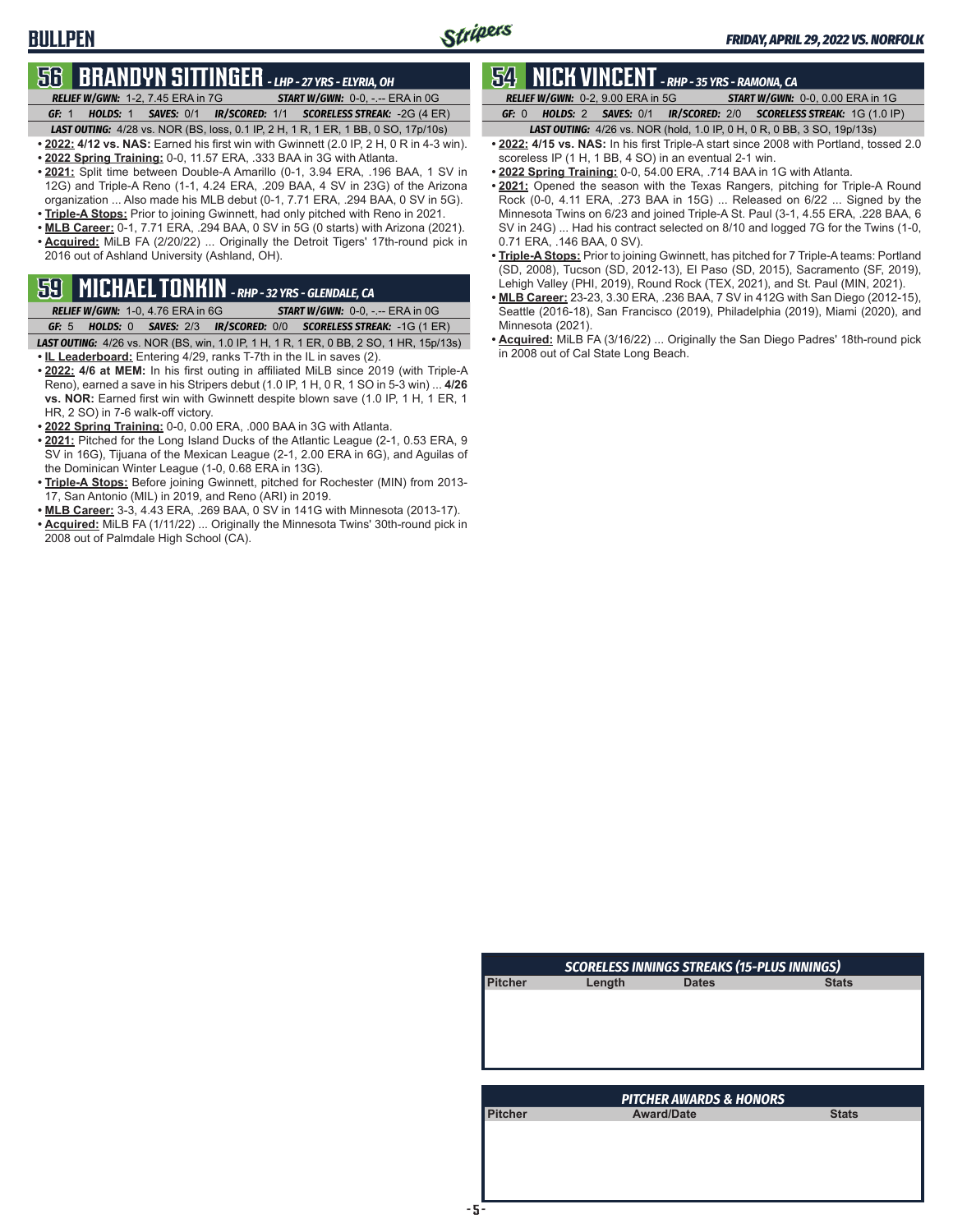# **56 BRANDYN SITTINGER** *- LHP - 27 YRS - ELYRIA, OH*

*RELIEF W/GWN:*1-2, 7.45 ERA in 7G *START W/GWN:*0-0, -.-- ERA in 0G

*GF:*1 *HOLDS:*1 *SAVES:*0/1 *IR/SCORED:*1/1 *SCORELESS STREAK:*-2G (4 ER) *LAST OUTING:*4/28 vs. NOR (BS, loss, 0.1 IP, 2 H, 1 R, 1 ER, 1 BB, 0 SO, 17p/10s)

- **• 2022: 4/12 vs. NAS:** Earned his first win with Gwinnett (2.0 IP, 2 H, 0 R in 4-3 win).
- **• 2022 Spring Training:** 0-0, 11.57 ERA, .333 BAA in 3G with Atlanta.
- **• 2021:** Split time between Double-A Amarillo (0-1, 3.94 ERA, .196 BAA, 1 SV in 12G) and Triple-A Reno (1-1, 4.24 ERA, .209 BAA, 4 SV in 23G) of the Arizona organization ... Also made his MLB debut (0-1, 7.71 ERA, .294 BAA, 0 SV in 5G).
- **• Triple-A Stops:** Prior to joining Gwinnett, had only pitched with Reno in 2021.
- **• MLB Career:** 0-1, 7.71 ERA, .294 BAA, 0 SV in 5G (0 starts) with Arizona (2021). **• Acquired:** MiLB FA (2/20/22) ... Originally the Detroit Tigers' 17th-round pick in 2016 out of Ashland University (Ashland, OH).

# **59 MICHAEL TONKIN** *- RHP - 32 YRS - GLENDALE, CA*

*RELIEF W/GWN:*1-0, 4.76 ERA in 6G *START W/GWN:*0-0, -.-- ERA in 0G

- *GF:*5 *HOLDS:*0 *SAVES:*2/3 *IR/SCORED:*0/0 *SCORELESS STREAK:*-1G (1 ER) *LAST OUTING:*4/26 vs. NOR (BS, win, 1.0 IP, 1 H, 1 R, 1 ER, 0 BB, 2 SO, 1 HR, 15p/13s) **• IL Leaderboard:** Entering 4/29, ranks T-7th in the IL in saves (2).
- **• 2022: 4/6 at MEM:** In his first outing in affiliated MiLB since 2019 (with Triple-A Reno), earned a save in his Stripers debut (1.0 IP, 1 H, 0 R, 1 SO in 5-3 win) ... **4/26 vs. NOR:** Earned first win with Gwinnett despite blown save (1.0 IP, 1 H, 1 ER, 1 HR, 2 SO) in 7-6 walk-off victory.
- **• 2022 Spring Training:** 0-0, 0.00 ERA, .000 BAA in 3G with Atlanta.
- **• 2021:** Pitched for the Long Island Ducks of the Atlantic League (2-1, 0.53 ERA, 9 SV in 16G), Tijuana of the Mexican League (2-1, 2.00 ERA in 6G), and Aguilas of the Dominican Winter League (1-0, 0.68 ERA in 13G).
- **• Triple-A Stops:** Before joining Gwinnett, pitched for Rochester (MIN) from 2013- 17, San Antonio (MIL) in 2019, and Reno (ARI) in 2019.
- **• MLB Career:** 3-3, 4.43 ERA, .269 BAA, 0 SV in 141G with Minnesota (2013-17). **• Acquired:** MiLB FA (1/11/22) ... Originally the Minnesota Twins' 30th-round pick in 2008 out of Palmdale High School (CA).

# **54 NICK VINCENT** *- RHP - 35 YRS - RAMONA, CA*

*RELIEF W/GWN:*0-2, 9.00 ERA in 5G *START W/GWN:*0-0, 0.00 ERA in 1G *GF:*0 *HOLDS:*2 *SAVES:*0/1 *IR/SCORED:*2/0 *SCORELESS STREAK:*1G (1.0 IP)

- *LAST OUTING:*4/26 vs. NOR (hold, 1.0 IP, 0 H, 0 R, 0 BB, 3 SO, 19p/13s) **• 2022: 4/15 vs. NAS:** In his first Triple-A start since 2008 with Portland, tossed 2.0
- scoreless IP (1 H, 1 BB, 4 SO) in an eventual 2-1 win.
- **• 2022 Spring Training:** 0-0, 54.00 ERA, .714 BAA in 1G with Atlanta.
- **• 2021:** Opened the season with the Texas Rangers, pitching for Triple-A Round Rock (0-0, 4.11 ERA, .273 BAA in 15G) ... Released on 6/22 ... Signed by the Minnesota Twins on 6/23 and joined Triple-A St. Paul (3-1, 4.55 ERA, .228 BAA, 6 SV in 24G) ... Had his contract selected on 8/10 and logged 7G for the Twins (1-0, 0.71 ERA, .146 BAA, 0 SV).
- **• Triple-A Stops:** Prior to joining Gwinnett, has pitched for 7 Triple-A teams: Portland (SD, 2008), Tucson (SD, 2012-13), El Paso (SD, 2015), Sacramento (SF, 2019), Lehigh Valley (PHI, 2019), Round Rock (TEX, 2021), and St. Paul (MIN, 2021).
- **• MLB Career:** 23-23, 3.30 ERA, .236 BAA, 7 SV in 412G with San Diego (2012-15), Seattle (2016-18), San Francisco (2019), Philadelphia (2019), Miami (2020), and Minnesota (2021).
- **• Acquired:** MiLB FA (3/16/22) ... Originally the San Diego Padres' 18th-round pick in 2008 out of Cal State Long Beach.

| <b>SCORELESS INNINGS STREAKS (15-PLUS INNINGS)</b> |        |                                    |              |  |
|----------------------------------------------------|--------|------------------------------------|--------------|--|
| <b>Pitcher</b>                                     | Length | <b>Dates</b>                       | <b>Stats</b> |  |
|                                                    |        |                                    |              |  |
|                                                    |        |                                    |              |  |
|                                                    |        |                                    |              |  |
|                                                    |        |                                    |              |  |
|                                                    |        |                                    |              |  |
|                                                    |        | <b>PITCHER AWARDS &amp; HONORS</b> |              |  |
| <b>Pitcher</b>                                     |        | <b>Award/Date</b>                  | <b>Stats</b> |  |
|                                                    |        |                                    |              |  |
|                                                    |        |                                    |              |  |
|                                                    |        |                                    |              |  |
|                                                    |        |                                    |              |  |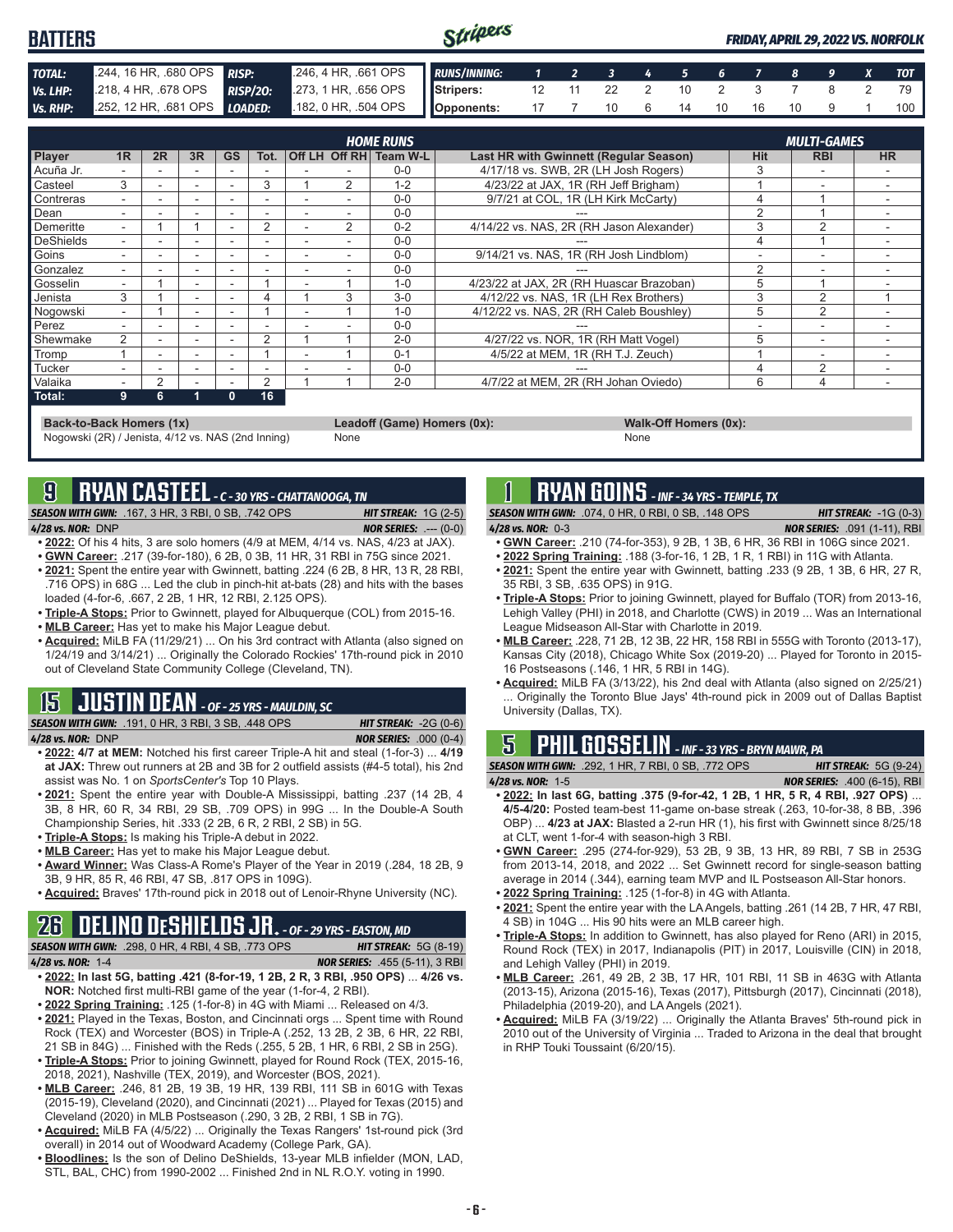#### Stripers **BATTERS** *FRIDAY, APRIL 29, 2022 VS. NORFOLK TOTAL:* .244, 16 HR, .680 OPS *RISP:* .246, 4 HR, .661 OPS *RUNS/INNING: 1 2 3 4 5 6 7 8 9 X TOT Vs. LHP:* .218, 4 HR, .678 OPS *RISP/2O:* .273, 1 HR, .656 OPS **Stripers:** 12 11 22 2 10 2 3 7 8 2 79 *Vs. RHP:* .252, 12 HR, .681 OPS *LOADED:* .182, 0 HR, .504 OPS **Opponents:** 17 7 10 6 14 10 16 10 9 1 100

| <b>HOME RUNS</b><br><b>MULTI-GAMES</b> |                |                |                          |           |                          |   |   |                        |                                          |            |            |           |
|----------------------------------------|----------------|----------------|--------------------------|-----------|--------------------------|---|---|------------------------|------------------------------------------|------------|------------|-----------|
| Player                                 | 1 <sub>R</sub> | 2R             | 3R                       | <b>GS</b> | Tot.                     |   |   | Off LH Off RH Team W-L | Last HR with Gwinnett (Regular Season)   | <b>Hit</b> | <b>RBI</b> | <b>HR</b> |
| Acuña Jr.                              |                |                |                          |           |                          |   |   | $0 - 0$                | 4/17/18 vs. SWB, 2R (LH Josh Rogers)     | 3          |            |           |
| Casteel                                | 3              |                | $\overline{\phantom{a}}$ | $\sim$    | 3                        |   | 2 | $1 - 2$                | 4/23/22 at JAX, 1R (RH Jeff Brigham)     |            | -          |           |
| Contreras                              | ۰.             |                | ۰                        |           |                          |   |   | $0 - 0$                | 9/7/21 at COL, 1R (LH Kirk McCarty)      | 4          |            |           |
| Dean                                   |                |                |                          |           |                          |   |   | $0 - 0$                |                                          | 2          |            |           |
| Demeritte                              | ۰.             |                |                          |           | 2                        |   | 2 | $0 - 2$                | 4/14/22 vs. NAS, 2R (RH Jason Alexander) | 3          | 2          |           |
| <b>DeShields</b>                       |                |                | $\overline{\phantom{a}}$ |           |                          |   |   | $0 - 0$                |                                          |            |            |           |
| Goins                                  |                |                | $\overline{\phantom{a}}$ |           | -                        |   |   | $0 - 0$                | 9/14/21 vs. NAS, 1R (RH Josh Lindblom)   |            |            |           |
| Gonzalez                               |                |                | $\overline{\phantom{a}}$ |           |                          |   |   | $0 - 0$                |                                          | 2          | -          |           |
| Gosselin                               | ۰              |                | $\overline{\phantom{a}}$ | $\sim$    |                          |   |   | $1 - 0$                | 4/23/22 at JAX, 2R (RH Huascar Brazoban) | 5          |            |           |
| Jenista                                | 3              |                | ٠                        |           | 4                        |   | 3 | $3-0$                  | 4/12/22 vs. NAS, 1R (LH Rex Brothers)    | 3          | 2          |           |
| Nogowski                               | ۰.             |                | $\overline{\phantom{a}}$ | $\sim$    |                          | ۰ |   | $1 - 0$                | 4/12/22 vs. NAS, 2R (RH Caleb Boushley)  | 5          | 2          |           |
| Perez                                  |                |                | $\overline{\phantom{a}}$ |           |                          |   |   | $0 - 0$                |                                          |            | ۰          |           |
| Shewmake                               | 2              |                | ۰                        |           | $\overline{2}$           |   |   | $2 - 0$                | 4/27/22 vs. NOR, 1R (RH Matt Vogel)      | 5          | ۰          |           |
| <b>Tromp</b>                           |                |                | $\sim$                   |           |                          |   |   | $0 - 1$                | 4/5/22 at MEM, 1R (RH T.J. Zeuch)        |            | ۰          |           |
| Tucker                                 | ۰.             |                | $\overline{\phantom{a}}$ |           | $\overline{\phantom{0}}$ |   |   | $0 - 0$                |                                          |            | 2          |           |
| Valaika                                | ۰.             | $\overline{2}$ | ۰                        | ۰         | $\overline{2}$           |   |   | $2 - 0$                | 4/7/22 at MEM, 2R (RH Johan Oviedo)      | 6          | 4          |           |
| Total:                                 | 9              | 6              |                          | 0         | 16                       |   |   |                        |                                          |            |            |           |

#### **Back-to-Back Homers (1x) Leadoff (Game) Homers (0x): Walk-Off Homers (0x):**

Nogowski (2R) / Jenista, 4/12 vs. NAS (2nd Inning) None None None

# **9 RYAN CASTEEL** *- C - 30 YRS - CHATTANOOGA, TN*

*SEASON WITH GWN:*.167, 3 HR, 3 RBI, 0 SB, .742 OPS *HIT STREAK:* 1G (2-5) *4/28 vs. NOR:*DNP *NOR SERIES:* .--- (0-0)

- **• 2022:** Of his 4 hits, 3 are solo homers (4/9 at MEM, 4/14 vs. NAS, 4/23 at JAX). **• GWN Career:** .217 (39-for-180), 6 2B, 0 3B, 11 HR, 31 RBI in 75G since 2021.
- **• 2021:** Spent the entire year with Gwinnett, batting .224 (6 2B, 8 HR, 13 R, 28 RBI, .716 OPS) in 68G ... Led the club in pinch-hit at-bats (28) and hits with the bases loaded (4-for-6, .667, 2 2B, 1 HR, 12 RBI, 2.125 OPS).
- **• Triple-A Stops:** Prior to Gwinnett, played for Albuquerque (COL) from 2015-16.
- **• MLB Career:** Has yet to make his Major League debut.
- **• Acquired:** MiLB FA (11/29/21) ... On his 3rd contract with Atlanta (also signed on 1/24/19 and 3/14/21) ... Originally the Colorado Rockies' 17th-round pick in 2010 out of Cleveland State Community College (Cleveland, TN).

# **15 JUSTIN DEAN** *- OF - 25 YRS - MAULDIN, SC*

*SEASON WITH GWN:*.191, 0 HR, 3 RBI, 3 SB, .448 OPS *HIT STREAK:* -2G (0-6)

- *4/28 vs. NOR:*DNP *NOR SERIES:* .000 (0-4) **• 2022: 4/7 at MEM:** Notched his first career Triple-A hit and steal (1-for-3) ... **4/19 at JAX:** Threw out runners at 2B and 3B for 2 outfield assists (#4-5 total), his 2nd assist was No. 1 on *SportsCenter's* Top 10 Plays.
- **• 2021:** Spent the entire year with Double-A Mississippi, batting .237 (14 2B, 4 3B, 8 HR, 60 R, 34 RBI, 29 SB, .709 OPS) in 99G ... In the Double-A South Championship Series, hit .333 (2 2B, 6 R, 2 RBI, 2 SB) in 5G.
- **• Triple-A Stops:** Is making his Triple-A debut in 2022.
- **• MLB Career:** Has yet to make his Major League debut.
- **• Award Winner:** Was Class-A Rome's Player of the Year in 2019 (.284, 18 2B, 9 3B, 9 HR, 85 R, 46 RBI, 47 SB, .817 OPS in 109G).
- **• Acquired:** Braves' 17th-round pick in 2018 out of Lenoir-Rhyne University (NC).

### **26 DELINO DESHIELDS JR.** *- OF - 29 YRS - EASTON, MD*

|                           | <b>SEASON WITH GWN:</b> .298, 0 HR, 4 RBI, 4 SB, .773 OPS | <b>HIT STREAK: 5G (8-19)</b>          |
|---------------------------|-----------------------------------------------------------|---------------------------------------|
| 4 <b>/28 vs. NOR:</b> 1-4 |                                                           | <b>NOR SERIES:</b> .455 (5-11), 3 RBI |

- **• 2022: In last 5G, batting .421 (8-for-19, 1 2B, 2 R, 3 RBI, .950 OPS)** ... **4/26 vs. NOR:** Notched first multi-RBI game of the year (1-for-4, 2 RBI).
- **• 2022 Spring Training:** .125 (1-for-8) in 4G with Miami ... Released on 4/3.
- **• 2021:** Played in the Texas, Boston, and Cincinnati orgs ... Spent time with Round Rock (TEX) and Worcester (BOS) in Triple-A (.252, 13 2B, 2 3B, 6 HR, 22 RBI, 21 SB in 84G) ... Finished with the Reds (.255, 5 2B, 1 HR, 6 RBI, 2 SB in 25G).
- **• Triple-A Stops:** Prior to joining Gwinnett, played for Round Rock (TEX, 2015-16, 2018, 2021), Nashville (TEX, 2019), and Worcester (BOS, 2021).
- **• MLB Career:** .246, 81 2B, 19 3B, 19 HR, 139 RBI, 111 SB in 601G with Texas (2015-19), Cleveland (2020), and Cincinnati (2021) ... Played for Texas (2015) and Cleveland (2020) in MLB Postseason (.290, 3 2B, 2 RBI, 1 SB in 7G).
- **• Acquired:** MiLB FA (4/5/22) ... Originally the Texas Rangers' 1st-round pick (3rd overall) in 2014 out of Woodward Academy (College Park, GA).
- **• Bloodlines:** Is the son of Delino DeShields, 13-year MLB infielder (MON, LAD, STL, BAL, CHC) from 1990-2002 ... Finished 2nd in NL R.O.Y. voting in 1990.

# **1 RYAN GOINS** *- INF - 34 YRS - TEMPLE, TX*

*SEASON WITH GWN:*.074, 0 HR, 0 RBI, 0 SB, .148 OPS *HIT STREAK:* -1G (0-3) *4/28 vs. NOR:*0-3 *NOR SERIES:* .091 (1-11), RBI

- **• GWN Career:** .210 (74-for-353), 9 2B, 1 3B, 6 HR, 36 RBI in 106G since 2021.
- **• 2022 Spring Training:** .188 (3-for-16, 1 2B, 1 R, 1 RBI) in 11G with Atlanta.
- **• 2021:** Spent the entire year with Gwinnett, batting .233 (9 2B, 1 3B, 6 HR, 27 R, 35 RBI, 3 SB, .635 OPS) in 91G.
- **• Triple-A Stops:** Prior to joining Gwinnett, played for Buffalo (TOR) from 2013-16, Lehigh Valley (PHI) in 2018, and Charlotte (CWS) in 2019 ... Was an International League Midseason All-Star with Charlotte in 2019.
- **• MLB Career:** .228, 71 2B, 12 3B, 22 HR, 158 RBI in 555G with Toronto (2013-17), Kansas City (2018), Chicago White Sox (2019-20) ... Played for Toronto in 2015- 16 Postseasons (.146, 1 HR, 5 RBI in 14G).
- **• Acquired:** MiLB FA (3/13/22), his 2nd deal with Atlanta (also signed on 2/25/21) Originally the Toronto Blue Jays' 4th-round pick in 2009 out of Dallas Baptist University (Dallas, TX).

# **5 PHIL GOSSELIN** *- INF - 33 YRS - BRYN MAWR, PA*

*SEASON WITH GWN:*.292, 1 HR, 7 RBI, 0 SB, .772 OPS *HIT STREAK:* 5G (9-24) *4/28 vs. NOR:*1-5 *NOR SERIES:* .400 (6-15), RBI

- **• 2022: In last 6G, batting .375 (9-for-42, 1 2B, 1 HR, 5 R, 4 RBI, .927 OPS)** ... **4/5-4/20:** Posted team-best 11-game on-base streak (.263, 10-for-38, 8 BB, .396 OBP) ... **4/23 at JAX:** Blasted a 2-run HR (1), his first with Gwinnett since 8/25/18 at CLT, went 1-for-4 with season-high 3 RBI.
- **• GWN Career:** .295 (274-for-929), 53 2B, 9 3B, 13 HR, 89 RBI, 7 SB in 253G from 2013-14, 2018, and 2022 ... Set Gwinnett record for single-season batting average in 2014 (.344), earning team MVP and IL Postseason All-Star honors.
- **• 2022 Spring Training:** .125 (1-for-8) in 4G with Atlanta.
- **• 2021:** Spent the entire year with the LA Angels, batting .261 (14 2B, 7 HR, 47 RBI, 4 SB) in 104G ... His 90 hits were an MLB career high.
- **• Triple-A Stops:** In addition to Gwinnett, has also played for Reno (ARI) in 2015, Round Rock (TEX) in 2017, Indianapolis (PIT) in 2017, Louisville (CIN) in 2018, and Lehigh Valley (PHI) in 2019.
- **• MLB Career:** .261, 49 2B, 2 3B, 17 HR, 101 RBI, 11 SB in 463G with Atlanta (2013-15), Arizona (2015-16), Texas (2017), Pittsburgh (2017), Cincinnati (2018), Philadelphia (2019-20), and LA Angels (2021).
- **• Acquired:** MiLB FA (3/19/22) ... Originally the Atlanta Braves' 5th-round pick in 2010 out of the University of Virginia ... Traded to Arizona in the deal that brought in RHP Touki Toussaint (6/20/15).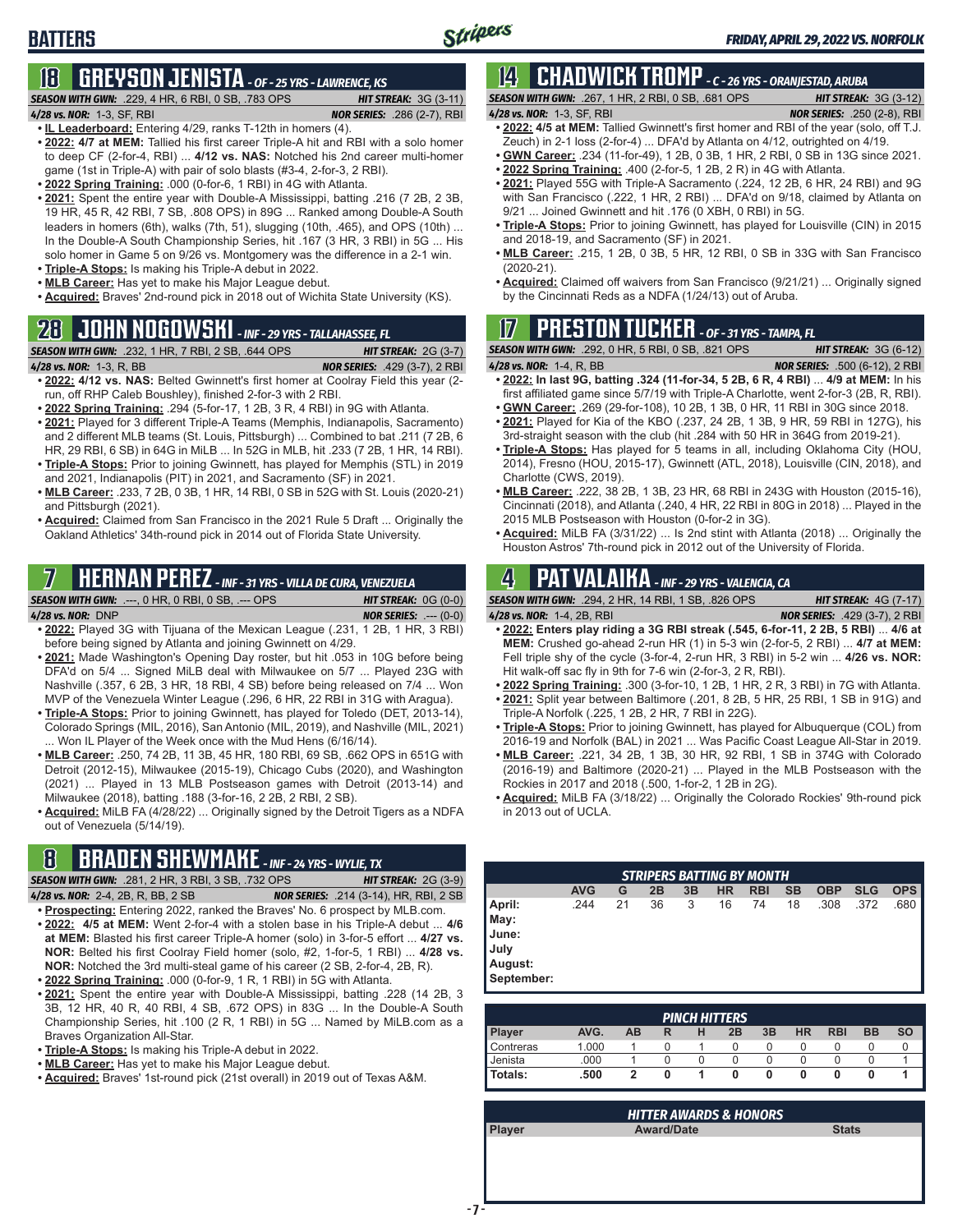# **18 GREYSON JENISTA** *- OF - 25 YRS - LAWRENCE, KS*

*SEASON WITH GWN:*.229, 4 HR, 6 RBI, 0 SB, .783 OPS *HIT STREAK:* 3G (3-11)

*4/28 vs. NOR:*1-3, SF, RBI *NOR SERIES:* .286 (2-7), RBI

- **• IL Leaderboard:** Entering 4/29, ranks T-12th in homers (4). **• 2022: 4/7 at MEM:** Tallied his first career Triple-A hit and RBI with a solo homer to deep CF (2-for-4, RBI) ... **4/12 vs. NAS:** Notched his 2nd career multi-homer game (1st in Triple-A) with pair of solo blasts (#3-4, 2-for-3, 2 RBI).
- **• 2022 Spring Training:** .000 (0-for-6, 1 RBI) in 4G with Atlanta.
- **• 2021:** Spent the entire year with Double-A Mississippi, batting .216 (7 2B, 2 3B, 19 HR, 45 R, 42 RBI, 7 SB, .808 OPS) in 89G ... Ranked among Double-A South leaders in homers (6th), walks (7th, 51), slugging (10th, .465), and OPS (10th) ... In the Double-A South Championship Series, hit .167 (3 HR, 3 RBI) in 5G ... His solo homer in Game 5 on 9/26 vs. Montgomery was the difference in a 2-1 win.
- **• Triple-A Stops:** Is making his Triple-A debut in 2022.
- **• MLB Career:** Has yet to make his Major League debut.
- **• Acquired:** Braves' 2nd-round pick in 2018 out of Wichita State University (KS).

# **28 JOHN NOGOWSKI** *- INF - 29 YRS - TALLAHASSEE, FL*

### *SEASON WITH GWN:*.232, 1 HR, 7 RBI, 2 SB, .644 OPS *HIT STREAK:* 2G (3-7)

*4/28 vs. NOR:*1-3, R, BB *NOR SERIES:* .429 (3-7), 2 RBI **• 2022: 4/12 vs. NAS:** Belted Gwinnett's first homer at Coolray Field this year (2-

- run, off RHP Caleb Boushley), finished 2-for-3 with 2 RBI. **• 2022 Spring Training:** .294 (5-for-17, 1 2B, 3 R, 4 RBI) in 9G with Atlanta.
- **• 2021:** Played for 3 different Triple-A Teams (Memphis, Indianapolis, Sacramento) and 2 different MLB teams (St. Louis, Pittsburgh) ... Combined to bat .211 (7 2B, 6 HR, 29 RBI, 6 SB) in 64G in MiLB ... In 52G in MLB, hit .233 (7 2B, 1 HR, 14 RBI). **• Triple-A Stops:** Prior to joining Gwinnett, has played for Memphis (STL) in 2019
- and 2021, Indianapolis (PIT) in 2021, and Sacramento (SF) in 2021. **• MLB Career:** .233, 7 2B, 0 3B, 1 HR, 14 RBI, 0 SB in 52G with St. Louis (2020-21)
- and Pittsburgh (2021).
- **• Acquired:** Claimed from San Francisco in the 2021 Rule 5 Draft ... Originally the Oakland Athletics' 34th-round pick in 2014 out of Florida State University.

# **7 HERNAN PEREZ** *- INF - 31 YRS - VILLA DE CURA, VENEZUELA*

- *SEASON WITH GWN:*.---, 0 HR, 0 RBI, 0 SB, .--- OPS *HIT STREAK:* 0G (0-0) *4/28 vs. NOR:*DNP *NOR SERIES:* .--- (0-0)
- **• 2022:** Played 3G with Tijuana of the Mexican League (.231, 1 2B, 1 HR, 3 RBI) before being signed by Atlanta and joining Gwinnett on 4/29.
- **• 2021:** Made Washington's Opening Day roster, but hit .053 in 10G before being DFA'd on 5/4 ... Signed MiLB deal with Milwaukee on 5/7 ... Played 23G with Nashville (.357, 6 2B, 3 HR, 18 RBI, 4 SB) before being released on 7/4 ... Won MVP of the Venezuela Winter League (.296, 6 HR, 22 RBI in 31G with Aragua).
- **• Triple-A Stops:** Prior to joining Gwinnett, has played for Toledo (DET, 2013-14), Colorado Springs (MIL, 2016), San Antonio (MIL, 2019), and Nashville (MIL, 2021) ... Won IL Player of the Week once with the Mud Hens (6/16/14).
- **• MLB Career:** .250, 74 2B, 11 3B, 45 HR, 180 RBI, 69 SB, .662 OPS in 651G with Detroit (2012-15), Milwaukee (2015-19), Chicago Cubs (2020), and Washington (2021) ... Played in 13 MLB Postseason games with Detroit (2013-14) and Milwaukee (2018), batting .188 (3-for-16, 2 2B, 2 RBI, 2 SB).
- **• Acquired:** MiLB FA (4/28/22) ... Originally signed by the Detroit Tigers as a NDFA out of Venezuela (5/14/19).

# **8 BRADEN SHEWMAKE** *- INF - 24 YRS - WYLIE, TX*

*SEASON WITH GWN:*.281, 2 HR, 3 RBI, 3 SB, .732 OPS *HIT STREAK:* 2G (3-9) *4/28 vs. NOR:*2-4, 2B, R, BB, 2 SB *NOR SERIES:* .214 (3-14), HR, RBI, 2 SB

- **• Prospecting:** Entering 2022, ranked the Braves' No. 6 prospect by MLB.com. **• 2022: 4/5 at MEM:** Went 2-for-4 with a stolen base in his Triple-A debut ... **4/6 at MEM:** Blasted his first career Triple-A homer (solo) in 3-for-5 effort ... **4/27 vs. NOR:** Belted his first Coolray Field homer (solo, #2, 1-for-5, 1 RBI) ... **4/28 vs.**
- **NOR:** Notched the 3rd multi-steal game of his career (2 SB, 2-for-4, 2B, R). **• 2022 Spring Training:** .000 (0-for-9, 1 R, 1 RBI) in 5G with Atlanta.
- **• 2021:** Spent the entire year with Double-A Mississippi, batting .228 (14 2B, 3 3B, 12 HR, 40 R, 40 RBI, 4 SB, .672 OPS) in 83G ... In the Double-A South Championship Series, hit .100 (2 R, 1 RBI) in 5G ... Named by MiLB.com as a Braves Organization All-Star.
- **• Triple-A Stops:** Is making his Triple-A debut in 2022.
- **• MLB Career:** Has yet to make his Major League debut.
- **• Acquired:** Braves' 1st-round pick (21st overall) in 2019 out of Texas A&M.

### **14 CHADWICK TROMP** *- C - 26 YRS - ORANJESTAD, ARUBA SEASON WITH GWN:*.267, 1 HR, 2 RBI, 0 SB, .681 OPS *HIT STREAK:* 3G (3-12)

*4/28 vs. NOR:*1-3, SF, RBI *NOR SERIES:* .250 (2-8), RBI

Stripers

- **• 2022: 4/5 at MEM:** Tallied Gwinnett's first homer and RBI of the year (solo, off T.J. Zeuch) in 2-1 loss (2-for-4) ... DFA'd by Atlanta on 4/12, outrighted on 4/19.
- **• GWN Career:** .234 (11-for-49), 1 2B, 0 3B, 1 HR, 2 RBI, 0 SB in 13G since 2021.
	- **• 2022 Spring Training:** .400 (2-for-5, 1 2B, 2 R) in 4G with Atlanta.
	- **• 2021:** Played 55G with Triple-A Sacramento (.224, 12 2B, 6 HR, 24 RBI) and 9G with San Francisco (.222, 1 HR, 2 RBI) ... DFA'd on 9/18, claimed by Atlanta on 9/21 ... Joined Gwinnett and hit .176 (0 XBH, 0 RBI) in 5G.
	- **• Triple-A Stops:** Prior to joining Gwinnett, has played for Louisville (CIN) in 2015 and 2018-19, and Sacramento (SF) in 2021.
	- **• MLB Career:** .215, 1 2B, 0 3B, 5 HR, 12 RBI, 0 SB in 33G with San Francisco (2020-21).
	- **• Acquired:** Claimed off waivers from San Francisco (9/21/21) ... Originally signed by the Cincinnati Reds as a NDFA (1/24/13) out of Aruba.

# **17 PRESTON TUCKER** *- OF - 31 YRS - TAMPA, FL*

*SEASON WITH GWN:*.292, 0 HR, 5 RBI, 0 SB, .821 OPS *HIT STREAK:* 3G (6-12)

- *4/28 vs. NOR:*1-4, R, BB *NOR SERIES:* .500 (6-12), 2 RBI
- **• 2022: In last 9G, batting .324 (11-for-34, 5 2B, 6 R, 4 RBI)** ... **4/9 at MEM:** In his first affiliated game since 5/7/19 with Triple-A Charlotte, went 2-for-3 (2B, R, RBI). **• GWN Career:** .269 (29-for-108), 10 2B, 1 3B, 0 HR, 11 RBI in 30G since 2018.
- **• 2021:** Played for Kia of the KBO (.237, 24 2B, 1 3B, 9 HR, 59 RBI in 127G), his 3rd-straight season with the club (hit .284 with 50 HR in 364G from 2019-21).
- **• Triple-A Stops:** Has played for 5 teams in all, including Oklahoma City (HOU, 2014), Fresno (HOU, 2015-17), Gwinnett (ATL, 2018), Louisville (CIN, 2018), and Charlotte (CWS, 2019).
- **• MLB Career:** .222, 38 2B, 1 3B, 23 HR, 68 RBI in 243G with Houston (2015-16), Cincinnati (2018), and Atlanta (.240, 4 HR, 22 RBI in 80G in 2018) ... Played in the 2015 MLB Postseason with Houston (0-for-2 in 3G).
- **• Acquired:** MiLB FA (3/31/22) ... Is 2nd stint with Atlanta (2018) ... Originally the Houston Astros' 7th-round pick in 2012 out of the University of Florida.

# **4 PAT VALAIKA** *- INF - 29 YRS - VALENCIA, CA*

*SEASON WITH GWN:*.294, 2 HR, 14 RBI, 1 SB, .826 OPS *HIT STREAK:* 4G (7-17) *4/28 vs. NOR:*1-4, 2B, RBI *NOR SERIES:* .429 (3-7), 2 RBI

- **• 2022: Enters play riding a 3G RBI streak (.545, 6-for-11, 2 2B, 5 RBI)** ... **4/6 at MEM:** Crushed go-ahead 2-run HR (1) in 5-3 win (2-for-5, 2 RBI) ... **4/7 at MEM:** Fell triple shy of the cycle (3-for-4, 2-run HR, 3 RBI) in 5-2 win ... **4/26 vs. NOR:** Hit walk-off sac fly in 9th for 7-6 win (2-for-3, 2 R, RBI).
- **• 2022 Spring Training:** .300 (3-for-10, 1 2B, 1 HR, 2 R, 3 RBI) in 7G with Atlanta. **• 2021:** Split year between Baltimore (.201, 8 2B, 5 HR, 25 RBI, 1 SB in 91G) and
- Triple-A Norfolk (.225, 1 2B, 2 HR, 7 RBI in 22G).
- **• Triple-A Stops:** Prior to joining Gwinnett, has played for Albuquerque (COL) from 2016-19 and Norfolk (BAL) in 2021 ... Was Pacific Coast League All-Star in 2019.
- **• MLB Career:** .221, 34 2B, 1 3B, 30 HR, 92 RBI, 1 SB in 374G with Colorado (2016-19) and Baltimore (2020-21) ... Played in the MLB Postseason with the Rockies in 2017 and 2018 (.500, 1-for-2, 1 2B in 2G).
- **• Acquired:** MiLB FA (3/18/22) ... Originally the Colorado Rockies' 9th-round pick in 2013 out of UCLA.

| <b>STRIPERS BATTING BY MONTH</b>                                       |            |    |    |    |           |            |           |            |            |      |
|------------------------------------------------------------------------|------------|----|----|----|-----------|------------|-----------|------------|------------|------|
|                                                                        | <b>AVG</b> | G  | 2B | 3B | <b>HR</b> | <b>RBI</b> | <b>SB</b> | <b>OBP</b> | <b>SLG</b> | OPS  |
| <b>April:</b><br>May:<br>June:<br><b>July</b><br>August:<br>September: | .244       | 21 | 36 | 3  | 16        | 74         | 18        | .308       | .372       | .680 |

| <b>PINCH HITTERS</b> |       |    |   |  |    |    |           |            |           |           |
|----------------------|-------|----|---|--|----|----|-----------|------------|-----------|-----------|
| Player               | AVG.  | AB | R |  | 2B | 3B | <b>HR</b> | <b>RBI</b> | <b>BB</b> | <b>SO</b> |
| <b>Contreras</b>     | 1.000 |    |   |  |    |    | O         |            |           |           |
| Jenista              | .000  |    |   |  |    |    |           |            |           |           |
| Totals:              | .500  | າ  |   |  |    | 0  | 0         | 0          |           |           |

|               | HITTER AWARDS & HONORS' |              |
|---------------|-------------------------|--------------|
| <b>Player</b> | <b>Award/Date</b>       | <b>Stats</b> |
|               |                         |              |
|               |                         |              |
|               |                         |              |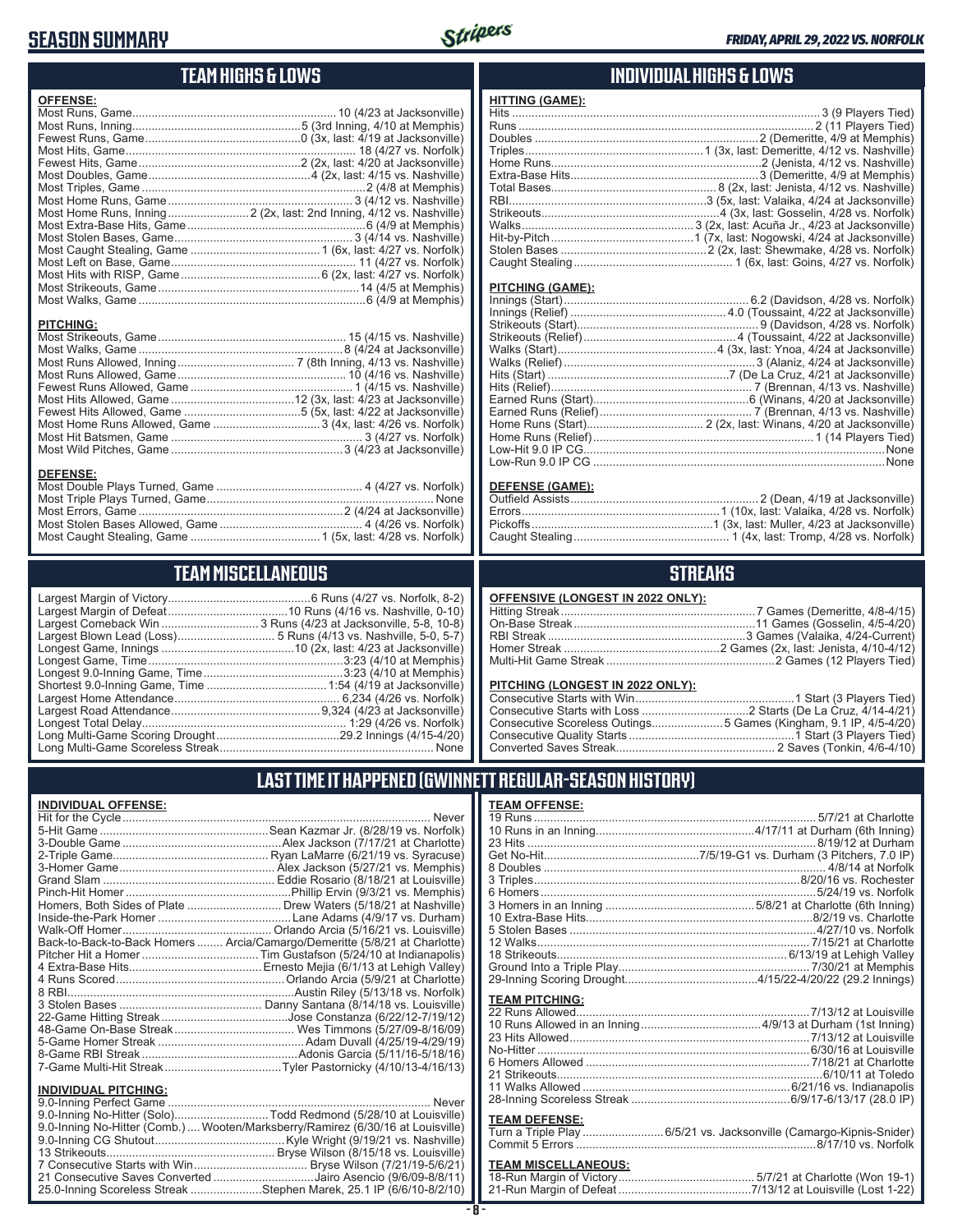# **SEASON SUMMARY**



# **TEAM HIGHS & LOWS**

| <b>OFFENSE:</b> |                                                                     |
|-----------------|---------------------------------------------------------------------|
|                 |                                                                     |
|                 |                                                                     |
|                 |                                                                     |
|                 |                                                                     |
|                 |                                                                     |
|                 |                                                                     |
|                 |                                                                     |
|                 |                                                                     |
|                 | Most Home Runs, Inning 2 (2x, last: 2nd Inning, 4/12 vs. Nashville) |
|                 |                                                                     |
|                 |                                                                     |
|                 |                                                                     |
|                 |                                                                     |
|                 |                                                                     |
|                 |                                                                     |
|                 |                                                                     |
|                 |                                                                     |

#### **PITCHING:**

#### **DEFENSE:**

# **TEAM MISCELLANEOUS**

# **INDIVIDUAL HIGHS & LOWS**

| <b>HITTING (GAME):</b> |  |
|------------------------|--|
|                        |  |
|                        |  |
|                        |  |
|                        |  |
|                        |  |
|                        |  |
|                        |  |
|                        |  |
|                        |  |
|                        |  |
|                        |  |
|                        |  |
|                        |  |

#### **PITCHING (GAME):**

### **DEFENSE (GAME):**

# **STREAKS**

| OFFENSIVE (LONGEST IN 2022 ONLY): |  |
|-----------------------------------|--|
|                                   |  |

### **PITCHING (LONGEST IN 2022 ONLY):**

| Consecutive Scoreless Outings5 Games (Kingham, 9.1 IP, 4/5-4/20) |
|------------------------------------------------------------------|
|                                                                  |
|                                                                  |

# **LAST TIME IT HAPPENED (GWINNETT REGULAR-SEASON HISTORY)**

| <b>INDIVIDUAL OFFENSE:</b>  |                                                                            |
|-----------------------------|----------------------------------------------------------------------------|
|                             |                                                                            |
|                             |                                                                            |
|                             |                                                                            |
|                             |                                                                            |
|                             |                                                                            |
|                             |                                                                            |
|                             |                                                                            |
|                             | Homers, Both Sides of Plate  Drew Waters (5/18/21 at Nashville)            |
|                             |                                                                            |
|                             |                                                                            |
|                             | Back-to-Back-to-Back Homers  Arcia/Camargo/Demeritte (5/8/21 at Charlotte) |
|                             |                                                                            |
|                             |                                                                            |
|                             |                                                                            |
|                             |                                                                            |
|                             |                                                                            |
|                             |                                                                            |
|                             |                                                                            |
|                             |                                                                            |
|                             |                                                                            |
|                             |                                                                            |
|                             |                                                                            |
| <b>INDIVIDUAL PITCHING:</b> |                                                                            |
|                             |                                                                            |

| 9.0-Inning No-Hitter (Solo)Todd Redmond (5/28/10 at Louisville)                |
|--------------------------------------------------------------------------------|
| 9.0-Inning No-Hitter (Comb.) Wooten/Marksberry/Ramirez (6/30/16 at Louisville) |
|                                                                                |
|                                                                                |
|                                                                                |
| 21 Consecutive Saves Converted Jairo Asencio (9/6/09-8/8/11)                   |
| 25.0-Inning Scoreless Streak Stephen Marek, 25.1 IP (6/6/10-8/2/10)            |
|                                                                                |

### **TEAM OFFENSE:**

| <b>TEAM PITCHING:</b> |                                                                   |
|-----------------------|-------------------------------------------------------------------|
|                       |                                                                   |
|                       |                                                                   |
|                       |                                                                   |
|                       |                                                                   |
|                       |                                                                   |
|                       |                                                                   |
|                       |                                                                   |
|                       |                                                                   |
|                       |                                                                   |
|                       |                                                                   |
| <b>TEAM DEFENSE:</b>  |                                                                   |
|                       | Turn a Triple Play6/5/21 vs. Jacksonville (Camargo-Kipnis-Snider) |
|                       |                                                                   |